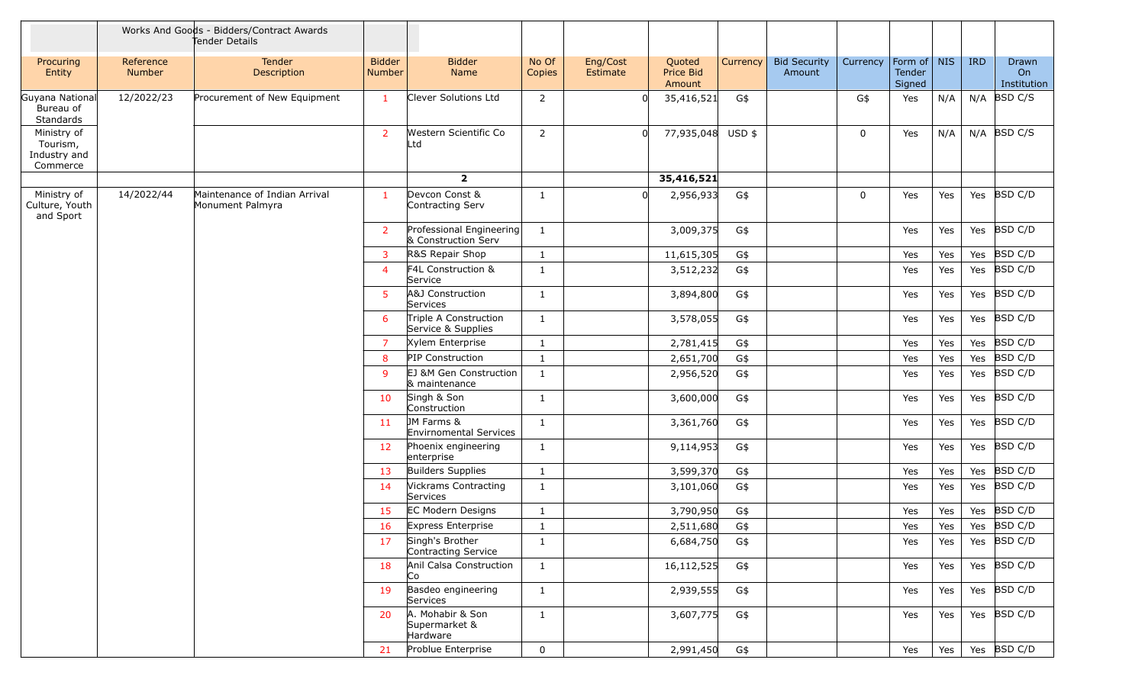|                                                     |                     | Works And Goods - Bidders/Contract Awards<br>Tender Details |                                |                                                 |                 |                      |                               |          |                               |             |                                 |     |            |                                   |
|-----------------------------------------------------|---------------------|-------------------------------------------------------------|--------------------------------|-------------------------------------------------|-----------------|----------------------|-------------------------------|----------|-------------------------------|-------------|---------------------------------|-----|------------|-----------------------------------|
| Procuring<br>Entity                                 | Reference<br>Number | <b>Tender</b><br>Description                                | <b>Bidder</b><br><b>Number</b> | <b>Bidder</b><br>Name                           | No Of<br>Copies | Eng/Cost<br>Estimate | Quoted<br>Price Bid<br>Amount | Currency | <b>Bid Security</b><br>Amount | Currency    | Form of NIS<br>Tender<br>Signed |     | <b>IRD</b> | Drawn<br><b>On</b><br>Institution |
| Guyana National<br>Bureau of<br>Standards           | 12/2022/23          | Procurement of New Equipment                                | $\mathbf{1}$                   | Clever Solutions Ltd                            | $\overline{2}$  |                      | 35,416,521                    | G\$      |                               | G\$         | Yes                             | N/A |            | $N/A$ BSD C/S                     |
| Ministry of<br>Tourism,<br>Industry and<br>Commerce |                     |                                                             | $\overline{2}$                 | Western Scientific Co<br>Ltd                    | $\overline{2}$  | <sup>n</sup>         | 77,935,048 USD \$             |          |                               | $\mathbf 0$ | Yes                             | N/A |            | $N/A$ BSD C/S                     |
|                                                     |                     |                                                             |                                | $\overline{2}$                                  |                 |                      | 35,416,521                    |          |                               |             |                                 |     |            |                                   |
| Ministry of<br>Culture, Youth<br>and Sport          | 14/2022/44          | Maintenance of Indian Arrival<br>Monument Palmyra           | $\mathbf{1}$                   | Devcon Const &<br>Contracting Serv              | $\mathbf{1}$    | $\Omega$             | 2,956,933                     | G\$      |                               | 0           | Yes                             | Yes |            | Yes BSD C/D                       |
|                                                     |                     |                                                             | $\overline{2}$                 | Professional Engineering<br>& Construction Serv | $\mathbf{1}$    |                      | 3,009,375                     | G\$      |                               |             | Yes                             | Yes | Yes        | BSD C/D                           |
|                                                     |                     |                                                             | 3                              | R&S Repair Shop                                 | $\mathbf{1}$    |                      | 11,615,305                    | G\$      |                               |             | Yes                             | Yes | Yes        | BSD C/D                           |
|                                                     |                     |                                                             | $\overline{4}$                 | F4L Construction &<br>Service                   | 1               |                      | 3,512,232                     | G\$      |                               |             | Yes                             | Yes | Yes        | BSD C/D                           |
|                                                     |                     |                                                             | 5                              | A&J Construction<br>Services                    | $\mathbf{1}$    |                      | 3,894,800                     | G\$      |                               |             | Yes                             | Yes | Yes        | BSD C/D                           |
|                                                     |                     |                                                             | 6                              | Triple A Construction<br>Service & Supplies     | $\mathbf{1}$    |                      | 3,578,055                     | G\$      |                               |             | Yes                             | Yes | Yes        | BSD C/D                           |
|                                                     |                     |                                                             | $\overline{7}$                 | Xylem Enterprise                                | $\mathbf{1}$    |                      | 2,781,415                     | G\$      |                               |             | Yes                             | Yes | Yes        | BSD C/D                           |
|                                                     |                     |                                                             | 8                              | <b>PIP Construction</b>                         | $\mathbf{1}$    |                      | 2,651,700                     | G\$      |                               |             | Yes                             | Yes | Yes        | <b>BSD C/D</b>                    |
|                                                     |                     |                                                             | $\mathsf{q}$                   | EJ &M Gen Construction<br>& maintenance         | $\mathbf{1}$    |                      | 2,956,520                     | G\$      |                               |             | Yes                             | Yes | Yes        | BSD C/D                           |
|                                                     |                     |                                                             | 10                             | Singh & Son<br>Construction                     | $\mathbf{1}$    |                      | 3,600,000                     | G\$      |                               |             | Yes                             | Yes |            | Yes BSD C/D                       |
|                                                     |                     |                                                             | 11                             | JM Farms &<br>Envirnomental Services            | 1               |                      | 3,361,760                     | G\$      |                               |             | Yes                             | Yes |            | Yes BSD C/D                       |
|                                                     |                     |                                                             | 12                             | Phoenix engineering<br>enterprise               | 1               |                      | 9,114,953                     | G\$      |                               |             | Yes                             | Yes | Yes        | BSD C/D                           |
|                                                     |                     |                                                             | 13                             | Builders Supplies                               | $\mathbf{1}$    |                      | 3,599,370                     | G\$      |                               |             | Yes                             | Yes | Yes        | BSD C/D                           |
|                                                     |                     |                                                             | 14                             | <b>Vickrams Contracting</b><br>Services         | $\mathbf{1}$    |                      | 3,101,060                     | G\$      |                               |             | Yes                             | Yes | Yes        | BSD C/D                           |
|                                                     |                     |                                                             | 15                             | <b>EC Modern Designs</b>                        | $\mathbf{1}$    |                      | 3,790,950                     | G\$      |                               |             | Yes                             | Yes |            | Yes BSD C/D                       |
|                                                     |                     |                                                             | 16                             | Express Enterprise                              | -1              |                      | 2,511,680                     | G\$      |                               |             | Yes                             | Yes |            | Yes BSD C/D                       |
|                                                     |                     |                                                             | 17                             | Singh's Brother<br>Contracting Service          | $\mathbf{1}$    |                      | 6,684,750                     | G\$      |                               |             | Yes                             | Yes |            | Yes BSD C/D                       |
|                                                     |                     |                                                             | 18                             | Anil Calsa Construction<br>Co                   | $\mathbf{1}$    |                      | 16,112,525                    | G\$      |                               |             | Yes                             | Yes |            | Yes $ BSD C/D$                    |
|                                                     |                     |                                                             | 19                             | Basdeo engineering<br>Services                  | $\mathbf{1}$    |                      | 2,939,555                     | G\$      |                               |             | Yes                             | Yes |            | Yes $ BSD C/D$                    |
|                                                     |                     |                                                             | 20                             | A. Mohabir & Son<br>Supermarket &<br>Hardware   | $\mathbf{1}$    |                      | 3,607,775                     | G\$      |                               |             | Yes                             | Yes |            | Yes BSD C/D                       |
|                                                     |                     |                                                             | 21                             | Problue Enterprise                              | $\mathbf 0$     |                      | 2,991,450                     | G\$      |                               |             | Yes                             | Yes |            | Yes $ BSD C/D$                    |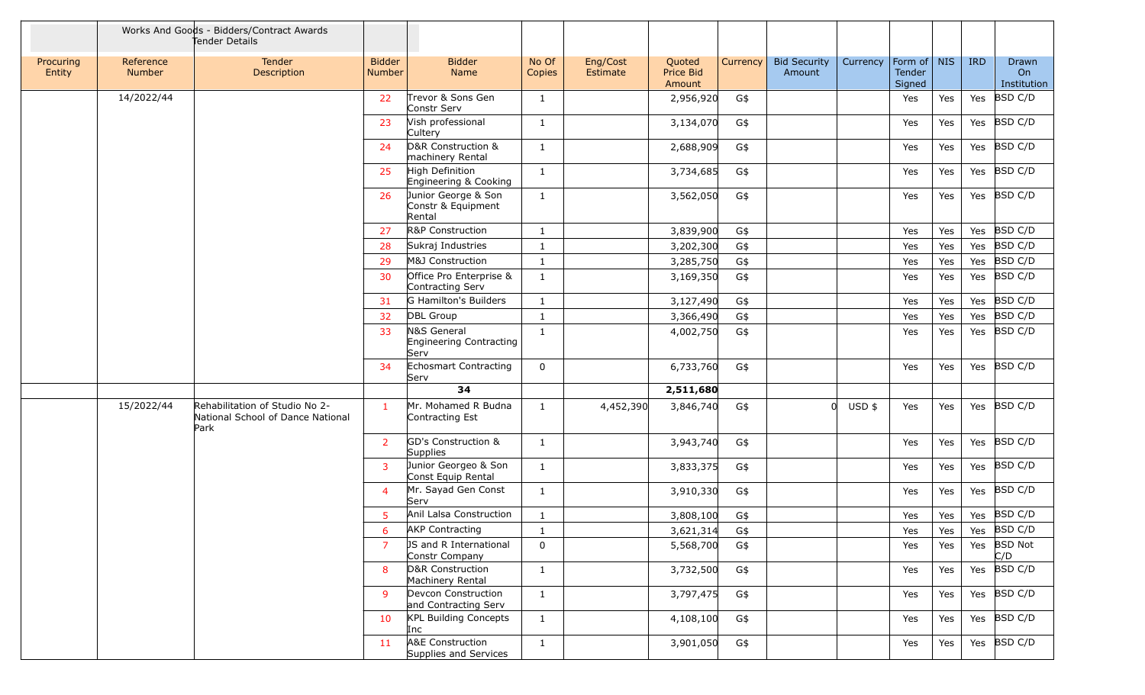|                     |                     | Works And Goods - Bidders/Contract Awards<br>Tender Details                 |                                |                                                     |                 |                      |                               |          |                               |          |                                 |     |            |                            |
|---------------------|---------------------|-----------------------------------------------------------------------------|--------------------------------|-----------------------------------------------------|-----------------|----------------------|-------------------------------|----------|-------------------------------|----------|---------------------------------|-----|------------|----------------------------|
| Procuring<br>Entity | Reference<br>Number | Tender<br>Description                                                       | <b>Bidder</b><br><b>Number</b> | <b>Bidder</b><br>Name                               | No Of<br>Copies | Eng/Cost<br>Estimate | Quoted<br>Price Bid<br>Amount | Currency | <b>Bid Security</b><br>Amount | Currency | Form of NIS<br>Tender<br>Signed |     | <b>IRD</b> | Drawn<br>On<br>Institution |
|                     | 14/2022/44          |                                                                             | 22                             | Trevor & Sons Gen<br>Constr Serv                    | 1               |                      | 2,956,920                     | G\$      |                               |          | Yes                             | Yes | Yes        | <b>BSD C/D</b>             |
|                     |                     |                                                                             | 23                             | Vish professional<br>Cultery                        | 1               |                      | 3,134,070                     | G\$      |                               |          | Yes                             | Yes | Yes        | BSD C/D                    |
|                     |                     |                                                                             | 24                             | D&R Construction &<br>machinery Rental              | $\mathbf{1}$    |                      | 2,688,909                     | G\$      |                               |          | Yes                             | Yes | Yes        | <b>BSD C/D</b>             |
|                     |                     |                                                                             | 25                             | High Definition<br>Engineering & Cooking            | 1               |                      | 3,734,685                     | G\$      |                               |          | Yes                             | Yes | Yes        | BSD C/D                    |
|                     |                     |                                                                             | 26                             | Junior George & Son<br>Constr & Equipment<br>Rental | 1               |                      | 3,562,050                     | G\$      |                               |          | Yes                             | Yes | Yes        | BSD C/D                    |
|                     |                     |                                                                             | 27                             | R&P Construction                                    | 1               |                      | 3,839,900                     | G\$      |                               |          | Yes                             | Yes | Yes        | BSD C/D                    |
|                     |                     |                                                                             | 28                             | Sukraj Industries                                   | 1               |                      | 3,202,300                     | G\$      |                               |          | Yes                             | Yes | Yes        | BSD C/D                    |
|                     |                     |                                                                             | 29                             | M&J Construction                                    | $\mathbf{1}$    |                      | 3,285,750                     | G\$      |                               |          | Yes                             | Yes | Yes        | <b>BSD C/D</b>             |
|                     |                     |                                                                             | 30                             | Office Pro Enterprise &<br>Contracting Serv         | $\mathbf{1}$    |                      | 3,169,350                     | G\$      |                               |          | Yes                             | Yes | Yes        | <b>BSD C/D</b>             |
|                     |                     |                                                                             | 31                             | G Hamilton's Builders                               | 1               |                      | 3,127,490                     | G\$      |                               |          | Yes                             | Yes | Yes        | BSD C/D                    |
|                     |                     |                                                                             | 32                             | <b>DBL Group</b>                                    | 1               |                      | 3,366,490                     | G\$      |                               |          | Yes                             | Yes | Yes        | BSD C/D                    |
|                     |                     |                                                                             | 33                             | N&S General<br>Engineering Contracting<br>Serv      | $\mathbf{1}$    |                      | 4,002,750                     | G\$      |                               |          | Yes                             | Yes | Yes        | BSD C/D                    |
|                     |                     |                                                                             | 34                             | Echosmart Contracting<br>Serv                       | $\mathbf 0$     |                      | 6,733,760                     | G\$      |                               |          | Yes                             | Yes | Yes        | BSD C/D                    |
|                     |                     |                                                                             |                                | 34                                                  |                 |                      | 2,511,680                     |          |                               |          |                                 |     |            |                            |
|                     | 15/2022/44          | Rehabilitation of Studio No 2-<br>National School of Dance National<br>Park | $\mathbf{1}$                   | Mr. Mohamed R Budna<br>Contracting Est              | $\mathbf{1}$    | 4,452,390            | 3,846,740                     | G\$      | $\Omega$                      | $USD$ \$ | Yes                             | Yes | Yes        | BSD C/D                    |
|                     |                     |                                                                             | $\overline{2}$                 | GD's Construction &<br>Supplies                     | 1               |                      | 3,943,740                     | G\$      |                               |          | Yes                             | Yes | Yes        | BSD C/D                    |
|                     |                     |                                                                             | 3                              | Junior Georgeo & Son<br>Const Equip Rental          | 1               |                      | 3,833,375                     | G\$      |                               |          | Yes                             | Yes | Yes        | BSD C/D                    |
|                     |                     |                                                                             | 4                              | Mr. Sayad Gen Const<br>Serv                         | $\mathbf{1}$    |                      | 3,910,330                     | G\$      |                               |          | Yes                             | Yes | Yes        | BSD C/D                    |
|                     |                     |                                                                             | 5                              | Anil Lalsa Construction                             | $\mathbf{1}$    |                      | 3,808,100                     | G\$      |                               |          | Yes                             | Yes |            | Yes BSD C/D                |
|                     |                     |                                                                             | $6\overline{6}$                | <b>AKP</b> Contracting                              | $\mathbf 1$     |                      | 3,621,314                     | G\$      |                               |          | Yes                             | Yes |            | Yes BSD C/D                |
|                     |                     |                                                                             | $\overline{7}$                 | JS and R International<br>Constr Company            | $\mathbf 0$     |                      | 5,568,700                     | G\$      |                               |          | Yes                             | Yes |            | Yes BSD Not<br>C/D         |
|                     |                     |                                                                             | 8                              | D&R Construction<br>Machinery Rental                | $\mathbf{1}$    |                      | 3,732,500                     | G\$      |                               |          | Yes                             | Yes | Yes        | BSD C/D                    |
|                     |                     |                                                                             | 9                              | Devcon Construction<br>and Contracting Serv         | $\mathbf{1}$    |                      | 3,797,475                     | G\$      |                               |          | Yes                             | Yes | Yes        | BSD C/D                    |
|                     |                     |                                                                             | 10                             | <b>KPL Building Concepts</b><br>Inc                 | $\mathbf{1}$    |                      | 4,108,100                     | G\$      |                               |          | Yes                             | Yes |            | Yes BSD C/D                |
|                     |                     |                                                                             | 11                             | A&E Construction<br>Supplies and Services           | $\mathbf{1}$    |                      | 3,901,050                     | G\$      |                               |          | Yes                             | Yes |            | Yes $ BSD C/D$             |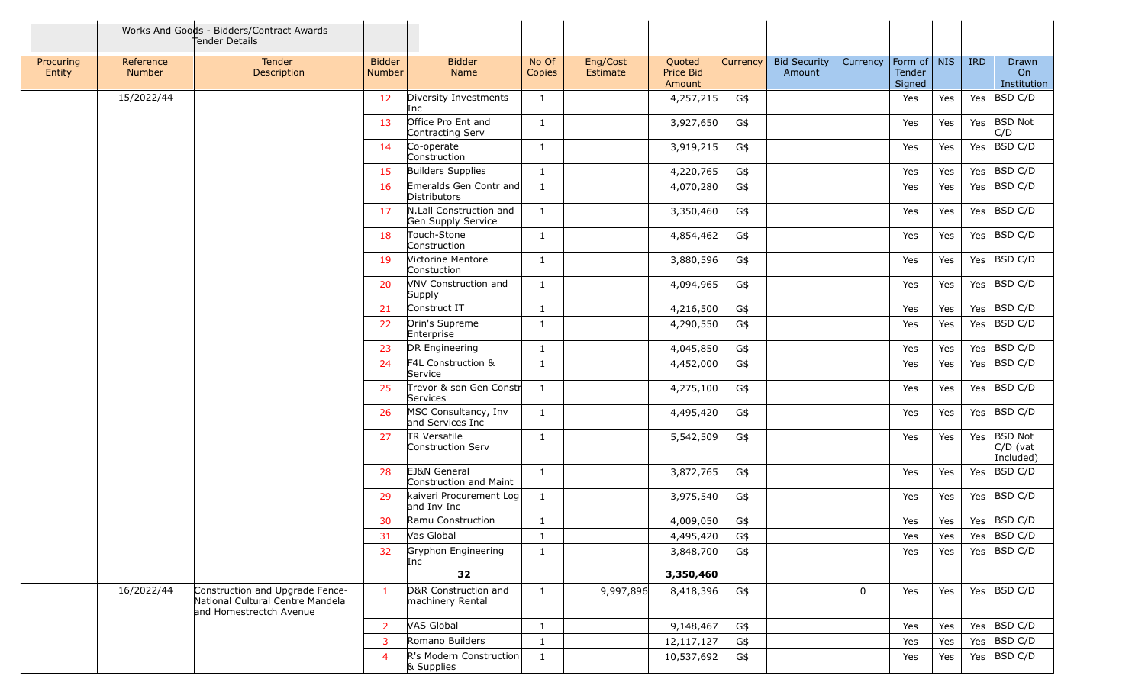|                     |                     | Works And Goods - Bidders/Contract Awards<br>Tender Details                                    |                         |                                               |                 |                      |                               |          |                               |             |                                 |     |            |                                           |
|---------------------|---------------------|------------------------------------------------------------------------------------------------|-------------------------|-----------------------------------------------|-----------------|----------------------|-------------------------------|----------|-------------------------------|-------------|---------------------------------|-----|------------|-------------------------------------------|
| Procuring<br>Entity | Reference<br>Number | Tender<br>Description                                                                          | <b>Bidder</b><br>Number | <b>Bidder</b><br>Name                         | No Of<br>Copies | Eng/Cost<br>Estimate | Quoted<br>Price Bid<br>Amount | Currency | <b>Bid Security</b><br>Amount | Currency    | Form of NIS<br>Tender<br>Signed |     | <b>IRD</b> | Drawn<br>On<br>Institution                |
|                     | 15/2022/44          |                                                                                                | 12                      | Diversity Investments<br>Inc                  | $\mathbf{1}$    |                      | 4,257,215                     | G\$      |                               |             | Yes                             | Yes | Yes        | BSD C/D                                   |
|                     |                     |                                                                                                | 13                      | Office Pro Ent and<br>Contracting Serv        | 1               |                      | 3,927,650                     | G\$      |                               |             | Yes                             | Yes | Yes        | <b>BSD Not</b><br>C/D                     |
|                     |                     |                                                                                                | 14                      | Co-operate<br>Construction                    | $\mathbf{1}$    |                      | 3,919,215                     | G\$      |                               |             | Yes                             | Yes | Yes        | BSD C/D                                   |
|                     |                     |                                                                                                | 15                      | <b>Builders Supplies</b>                      | -1              |                      | 4,220,765                     | G\$      |                               |             | Yes                             | Yes | Yes        | <b>BSD C/D</b>                            |
|                     |                     |                                                                                                | <b>16</b>               | Emeralds Gen Contr and<br>Distributors        | 1               |                      | 4,070,280                     | G\$      |                               |             | Yes                             | Yes | Yes        | BSD C/D                                   |
|                     |                     |                                                                                                | 17                      | N.Lall Construction and<br>Gen Supply Service | 1               |                      | 3,350,460                     | G\$      |                               |             | Yes                             | Yes | Yes        | <b>BSD C/D</b>                            |
|                     |                     |                                                                                                | 18                      | Touch-Stone<br>Construction                   | -1              |                      | 4,854,462                     | G\$      |                               |             | Yes                             | Yes | Yes        | BSD C/D                                   |
|                     |                     |                                                                                                | -19                     | Victorine Mentore<br>Constuction              | $\mathbf{1}$    |                      | 3,880,596                     | G\$      |                               |             | Yes                             | Yes | Yes        | BSD C/D                                   |
|                     |                     |                                                                                                | 20                      | VNV Construction and<br>Supply                | 1               |                      | 4,094,965                     | G\$      |                               |             | Yes                             | Yes | Yes        | BSD C/D                                   |
|                     |                     |                                                                                                | 21                      | Construct IT                                  | $\mathbf{1}$    |                      | 4,216,500                     | G\$      |                               |             | Yes                             | Yes | Yes        | BSD C/D                                   |
|                     |                     |                                                                                                | 22                      | Orin's Supreme<br>Enterprise                  | 1               |                      | 4,290,550                     | G\$      |                               |             | Yes                             | Yes | Yes        | <b>BSD C/D</b>                            |
|                     |                     |                                                                                                | 23                      | DR Engineering                                | -1              |                      | 4,045,850                     | G\$      |                               |             | Yes                             | Yes | Yes        | <b>BSD C/D</b>                            |
|                     |                     |                                                                                                | 24                      | F4L Construction &<br>Service                 | 1               |                      | 4,452,000                     | G\$      |                               |             | Yes                             | Yes | Yes        | BSD C/D                                   |
|                     |                     |                                                                                                | 25                      | Trevor & son Gen Constr<br>Services           | 1               |                      | 4,275,100                     | G\$      |                               |             | Yes                             | Yes | Yes        | BSD C/D                                   |
|                     |                     |                                                                                                | 26                      | MSC Consultancy, Inv<br>and Services Inc      | 1               |                      | 4,495,420                     | G\$      |                               |             | Yes                             | Yes | Yes        | BSD C/D                                   |
|                     |                     |                                                                                                | 27                      | TR Versatile<br>Construction Serv             | 1               |                      | 5,542,509                     | G\$      |                               |             | Yes                             | Yes | Yes        | <b>BSD Not</b><br>$C/D$ (vat<br>Included) |
|                     |                     |                                                                                                | 28                      | EJ&N General<br>Construction and Maint        | 1               |                      | 3,872,765                     | G\$      |                               |             | Yes                             | Yes | Yes        | BSD C/D                                   |
|                     |                     |                                                                                                | 29                      | kaiveri Procurement Log<br>and Inv Inc        | 1               |                      | 3,975,540                     | G\$      |                               |             | Yes                             | Yes | Yes        | <b>BSD C/D</b>                            |
|                     |                     |                                                                                                | 30                      | Ramu Construction                             | -1              |                      | 4,009,050                     | G\$      |                               |             | Yes                             | Yes | Yes        | BSD C/D                                   |
|                     |                     |                                                                                                | 31                      | Vas Global                                    | -1              |                      | 4,495,420                     | G\$      |                               |             | Yes                             | Yes | Yes        | BSD C/D                                   |
|                     |                     |                                                                                                | 32                      | Gryphon Engineering<br>Inc                    | $\mathbf{1}$    |                      | 3,848,700                     | G\$      |                               |             | Yes                             | Yes | Yes        | BSD C/D                                   |
|                     |                     |                                                                                                |                         | 32                                            |                 |                      | 3,350,460                     |          |                               |             |                                 |     |            |                                           |
|                     | 16/2022/44          | Construction and Upgrade Fence-<br>National Cultural Centre Mandela<br>and Homestrectch Avenue | $\mathbf{1}$            | D&R Construction and<br>machinery Rental      | $\mathbf{1}$    | 9,997,896            | 8,418,396                     | G\$      |                               | $\mathbf 0$ | Yes                             | Yes |            | Yes $ BSD C/D$                            |
|                     |                     |                                                                                                | $\overline{2}$          | VAS Global                                    | $\mathbf{1}$    |                      | 9,148,467                     | G\$      |                               |             | Yes                             | Yes | Yes        | BSD C/D                                   |
|                     |                     |                                                                                                | 3                       | Romano Builders                               | 1               |                      | 12,117,127                    | G\$      |                               |             | Yes                             | Yes | Yes        | BSD C/D                                   |
|                     |                     |                                                                                                | $\overline{4}$          | R's Modern Construction<br>& Supplies         | 1               |                      | 10,537,692                    | G\$      |                               |             | Yes                             | Yes | Yes        | BSD C/D                                   |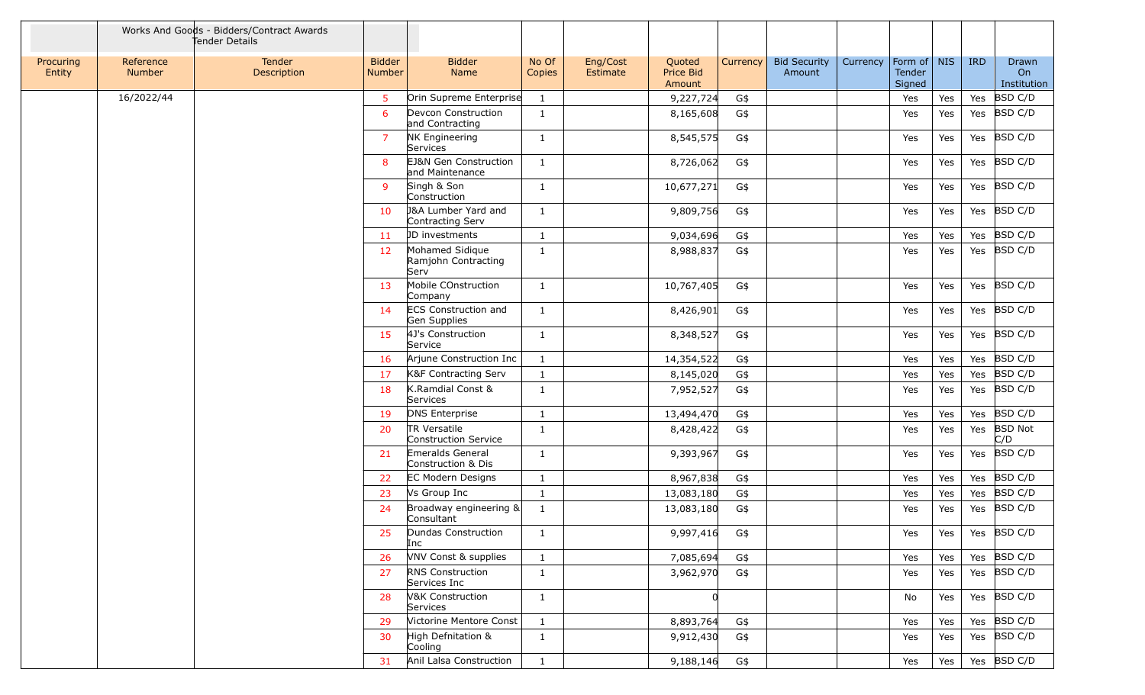|                     |                            | Works And Goods - Bidders/Contract Awards<br>Tender Details |                         |                                                    |                 |                      |                               |          |                               |                                               |     |            |                            |
|---------------------|----------------------------|-------------------------------------------------------------|-------------------------|----------------------------------------------------|-----------------|----------------------|-------------------------------|----------|-------------------------------|-----------------------------------------------|-----|------------|----------------------------|
| Procuring<br>Entity | Reference<br><b>Number</b> | <b>Tender</b><br>Description                                | <b>Bidder</b><br>Number | <b>Bidder</b><br>Name                              | No Of<br>Copies | Eng/Cost<br>Estimate | Quoted<br>Price Bid<br>Amount | Currency | <b>Bid Security</b><br>Amount | Form of   NIS<br>Currency<br>Tender<br>Signed |     | <b>IRD</b> | Drawn<br>On<br>Institution |
|                     | 16/2022/44                 |                                                             | 5                       | Orin Supreme Enterprise                            | 1               |                      | 9,227,724                     | G\$      |                               | Yes                                           | Yes | Yes        | <b>BSD C/D</b>             |
|                     |                            |                                                             | 6                       | Devcon Construction<br>and Contracting             | $\mathbf{1}$    |                      | 8,165,608                     | G\$      |                               | Yes                                           | Yes | Yes        | BSD C/D                    |
|                     |                            |                                                             | $\overline{7}$          | NK Engineering<br>Services                         | $\mathbf{1}$    |                      | 8,545,575                     | G\$      |                               | Yes                                           | Yes |            | Yes BSD C/D                |
|                     |                            |                                                             | 8                       | EJ&N Gen Construction<br>and Maintenance           | 1               |                      | 8,726,062                     | G\$      |                               | Yes                                           | Yes |            | Yes BSD C/D                |
|                     |                            |                                                             | 9                       | Singh & Son<br>Construction                        | $\mathbf{1}$    |                      | 10,677,271                    | G\$      |                               | Yes                                           | Yes |            | Yes BSD C/D                |
|                     |                            |                                                             | 10                      | <b>J&amp;A Lumber Yard and</b><br>Contracting Serv | 1               |                      | 9,809,756                     | G\$      |                               | Yes                                           | Yes | Yes        | BSD C/D                    |
|                     |                            |                                                             | 11                      | JD investments                                     | 1               |                      | 9,034,696                     | G\$      |                               | Yes                                           | Yes | Yes        | BSD C/D                    |
|                     |                            |                                                             | 12                      | Mohamed Sidique<br>Ramjohn Contracting<br>Serv     | $\mathbf{1}$    |                      | 8,988,837                     | G\$      |                               | Yes                                           | Yes | Yes        | BSD C/D                    |
|                     |                            |                                                             | 13                      | Mobile COnstruction<br>Company                     | $\mathbf{1}$    |                      | 10,767,405                    | G\$      |                               | Yes                                           | Yes |            | Yes BSD C/D                |
|                     |                            |                                                             | 14                      | ECS Construction and<br>Gen Supplies               | $\mathbf{1}$    |                      | 8,426,901                     | G\$      |                               | Yes                                           | Yes | Yes        | <b>BSD C/D</b>             |
|                     |                            |                                                             | 15                      | 4J's Construction<br>Service                       | $\mathbf{1}$    |                      | 8,348,527                     | G\$      |                               | Yes                                           | Yes | Yes        | BSD C/D                    |
|                     |                            |                                                             | 16                      | Arjune Construction Inc                            | $\mathbf{1}$    |                      | 14,354,522                    | G\$      |                               | Yes                                           | Yes | Yes        | BSD C/D                    |
|                     |                            |                                                             | 17                      | K&F Contracting Serv                               | $\mathbf{1}$    |                      | 8,145,020                     | G\$      |                               | Yes                                           | Yes | Yes        | BSD C/D                    |
|                     |                            |                                                             | 18                      | K.Ramdial Const &<br>Services                      | $\mathbf{1}$    |                      | 7,952,527                     | G\$      |                               | Yes                                           | Yes | Yes        | <b>BSD C/D</b>             |
|                     |                            |                                                             | 19                      | <b>DNS Enterprise</b>                              | $\mathbf{1}$    |                      | 13,494,470                    | G\$      |                               | Yes                                           | Yes | Yes        | BSD C/D                    |
|                     |                            |                                                             | 20                      | TR Versatile<br>Construction Service               | -1              |                      | 8,428,422                     | G\$      |                               | Yes                                           | Yes | Yes        | <b>BSD Not</b><br>C/D      |
|                     |                            |                                                             | 21                      | Emeralds General<br>Construction & Dis             | $\mathbf{1}$    |                      | 9,393,967                     | G\$      |                               | Yes                                           | Yes | Yes        | BSD C/D                    |
|                     |                            |                                                             | 22                      | <b>EC Modern Designs</b>                           | $\mathbf{1}$    |                      | 8,967,838                     | G\$      |                               | Yes                                           | Yes | Yes        | BSD C/D                    |
|                     |                            |                                                             | 23                      | Vs Group Inc                                       | $\mathbf{1}$    |                      | 13,083,180                    | G\$      |                               | Yes                                           | Yes | Yes        | <b>BSD C/D</b>             |
|                     |                            |                                                             | 24                      | Broadway engineering $\&$<br>Consultant            | $\mathbf{1}$    |                      | 13,083,180                    | G\$      |                               | Yes                                           | Yes | Yes        | <b>BSD C/D</b>             |
|                     |                            |                                                             |                         | Dundas Construction<br>Inc                         | 1               |                      | 9,997,416                     | G\$      |                               | Yes                                           | Yes |            | Yes BSD C/D                |
|                     |                            |                                                             | 26                      | VNV Const & supplies                               | $\mathbf{1}$    |                      | 7,085,694                     | G\$      |                               | Yes                                           | Yes |            | Yes BSD C/D                |
|                     |                            |                                                             | 27                      | <b>RNS Construction</b><br>Services Inc            | $\mathbf{1}$    |                      | 3,962,970                     | G\$      |                               | Yes                                           | Yes |            | Yes BSD C/D                |
|                     |                            |                                                             | 28                      | V&K Construction<br>Services                       | $\mathbf{1}$    |                      |                               |          |                               | No                                            | Yes |            | Yes $ BSD C/D$             |
|                     |                            |                                                             | 29                      | Victorine Mentore Const                            | $\mathbf{1}$    |                      | 8,893,764                     | G\$      |                               | Yes                                           | Yes |            | Yes BSD C/D                |
|                     |                            |                                                             | 30                      | High Defnitation &<br>Cooling                      | $\mathbf{1}$    |                      | 9,912,430                     | G\$      |                               | Yes                                           | Yes |            | Yes BSD C/D                |
|                     |                            |                                                             | 31                      | Anil Lalsa Construction                            | $\mathbf{1}$    |                      | 9,188,146                     | G\$      |                               | Yes                                           | Yes |            | Yes $ BSD C/D$             |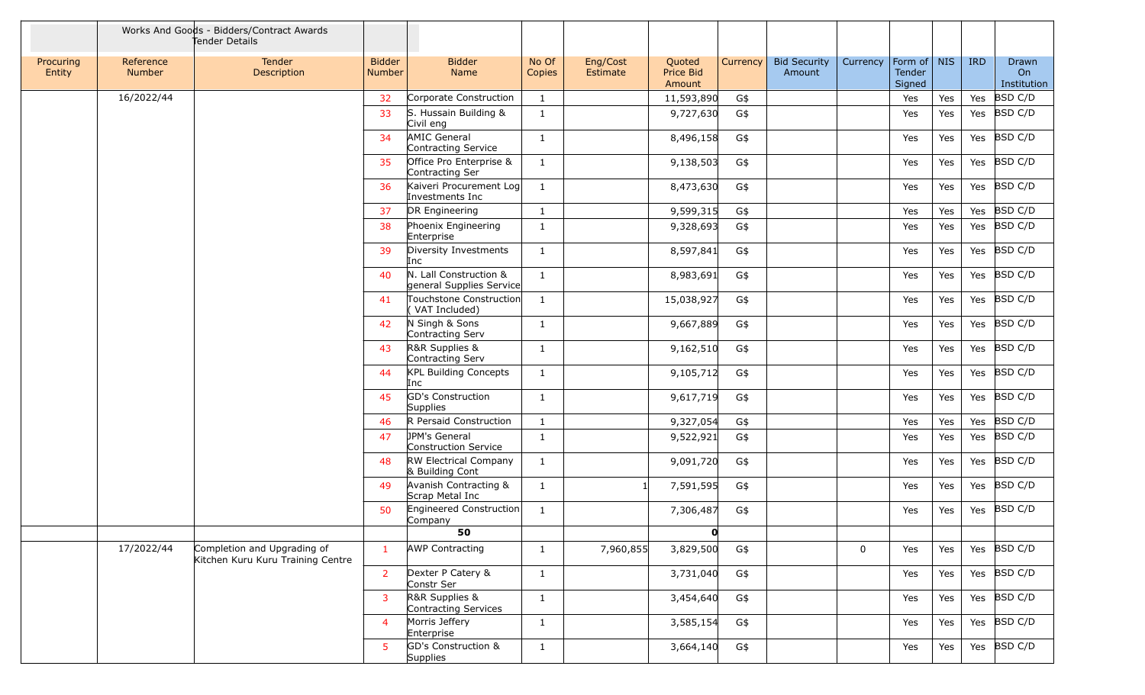|                     |                            | Works And Goods - Bidders/Contract Awards<br>Tender Details      |                         |                                                    |                 |                      |                               |                 |                               |             |                                 |     |            |                            |
|---------------------|----------------------------|------------------------------------------------------------------|-------------------------|----------------------------------------------------|-----------------|----------------------|-------------------------------|-----------------|-------------------------------|-------------|---------------------------------|-----|------------|----------------------------|
| Procuring<br>Entity | Reference<br><b>Number</b> | <b>Tender</b><br>Description                                     | <b>Bidder</b><br>Number | <b>Bidder</b><br>Name                              | No Of<br>Copies | Eng/Cost<br>Estimate | Quoted<br>Price Bid<br>Amount | <b>Currency</b> | <b>Bid Security</b><br>Amount | Currency    | Form of NIS<br>Tender<br>Signed |     | <b>IRD</b> | Drawn<br>On<br>Institution |
|                     | 16/2022/44                 |                                                                  | 32                      | Corporate Construction                             | $\mathbf{1}$    |                      | 11,593,890                    | G\$             |                               |             | Yes                             | Yes | Yes        | BSD C/D                    |
|                     |                            |                                                                  | 33                      | S. Hussain Building &<br>Civil eng                 | <sup>1</sup>    |                      | 9,727,630                     | G\$             |                               |             | Yes                             | Yes | Yes        | BSD C/D                    |
|                     |                            |                                                                  | 34                      | AMIC General<br>Contracting Service                | $\mathbf{1}$    |                      | 8,496,158                     | G\$             |                               |             | Yes                             | Yes |            | Yes BSD C/D                |
|                     |                            |                                                                  | 35                      | Office Pro Enterprise &<br>Contracting Ser         | 1               |                      | 9,138,503                     | G\$             |                               |             | Yes                             | Yes |            | Yes BSD C/D                |
|                     |                            |                                                                  | 36                      | Kaiveri Procurement Log<br>Investments Inc         | 1               |                      | 8,473,630                     | G\$             |                               |             | Yes                             | Yes | Yes        | BSD C/D                    |
|                     |                            |                                                                  | 37                      | DR Engineering                                     | 1               |                      | 9,599,315                     | G\$             |                               |             | Yes                             | Yes | Yes        | BSD C/D                    |
|                     |                            |                                                                  | 38                      | Phoenix Engineering<br>Enterprise                  | 1               |                      | 9,328,693                     | G\$             |                               |             | Yes                             | Yes | Yes        | BSD C/D                    |
|                     |                            |                                                                  | 39                      | Diversity Investments<br>Inc                       | 1               |                      | 8,597,841                     | G\$             |                               |             | Yes                             | Yes |            | Yes BSD C/D                |
|                     |                            |                                                                  | 40                      | N. Lall Construction &<br>general Supplies Service | $\mathbf{1}$    |                      | 8,983,691                     | G\$             |                               |             | Yes                             | Yes | Yes        | BSD C/D                    |
|                     |                            |                                                                  | 41                      | Touchstone Construction<br>VAT Included)           | 1               |                      | 15,038,927                    | G\$             |                               |             | Yes                             | Yes |            | Yes BSD C/D                |
|                     |                            |                                                                  | 42                      | N Singh & Sons<br>Contracting Serv                 | 1               |                      | 9,667,889                     | G\$             |                               |             | Yes                             | Yes | Yes        | BSD C/D                    |
|                     |                            |                                                                  | 43                      | R&R Supplies &<br>Contracting Serv                 | 1               |                      | 9,162,510                     | G\$             |                               |             | Yes                             | Yes | Yes        | BSD C/D                    |
|                     |                            |                                                                  | 44                      | <b>KPL Building Concepts</b><br>Inc                | $\mathbf{1}$    |                      | 9,105,712                     | G\$             |                               |             | Yes                             | Yes | Yes        | BSD C/D                    |
|                     |                            |                                                                  | 45                      | GD's Construction<br><b>Supplies</b>               | 1               |                      | 9,617,719                     | G\$             |                               |             | Yes                             | Yes | Yes        | BSD C/D                    |
|                     |                            |                                                                  | 46                      | R Persaid Construction                             | $\mathbf{1}$    |                      | 9,327,054                     | G\$             |                               |             | Yes                             | Yes |            | Yes BSD C/D                |
|                     |                            |                                                                  | 47                      | JPM's General<br>Construction Service              | 1               |                      | 9,522,921                     | G\$             |                               |             | Yes                             | Yes | Yes        | BSD C/D                    |
|                     |                            |                                                                  | 48                      | RW Electrical Company<br>& Building Cont           | <sup>1</sup>    |                      | 9,091,720                     | G\$             |                               |             | Yes                             | Yes | Yes        | BSD C/D                    |
|                     |                            |                                                                  | 49                      | Avanish Contracting &<br>Scrap Metal Inc           | 1               | -1                   | 7,591,595                     | G\$             |                               |             | Yes                             | Yes | Yes        | BSD C/D                    |
|                     |                            |                                                                  | 50                      | Engineered Construction<br>Company                 | 1               |                      | 7,306,487                     | G\$             |                               |             | Yes                             | Yes | Yes        | BSD C/D                    |
|                     |                            |                                                                  |                         | 50                                                 |                 |                      | $\mathbf{0}$                  |                 |                               |             |                                 |     |            |                            |
|                     | 17/2022/44                 | Completion and Upgrading of<br>Kitchen Kuru Kuru Training Centre | $\mathbf{1}$            | <b>AWP Contracting</b>                             | 1               | 7,960,855            | 3,829,500                     | G\$             |                               | $\mathbf 0$ | Yes                             | Yes |            | Yes $ BSD C/D$             |
|                     |                            |                                                                  | $\overline{2}$          | Dexter P Catery &<br>Constr Ser                    | 1               |                      | 3,731,040                     | G\$             |                               |             | Yes                             | Yes |            | Yes $ BSD C/D$             |
|                     |                            |                                                                  | 3                       | R&R Supplies &<br>Contracting Services             | $\mathbf{1}$    |                      | 3,454,640                     | G\$             |                               |             | Yes                             | Yes |            | Yes BSD C/D                |
|                     |                            |                                                                  | $\overline{4}$          | Morris Jeffery<br>Enterprise                       | $\mathbf{1}$    |                      | 3,585,154                     | G\$             |                               |             | Yes                             | Yes | Yes        | BSD C/D                    |
|                     |                            |                                                                  | -5                      | GD's Construction &<br><b>Supplies</b>             | $\mathbf{1}$    |                      | 3,664,140                     | G\$             |                               |             | Yes                             | Yes |            | Yes $BSD C/D$              |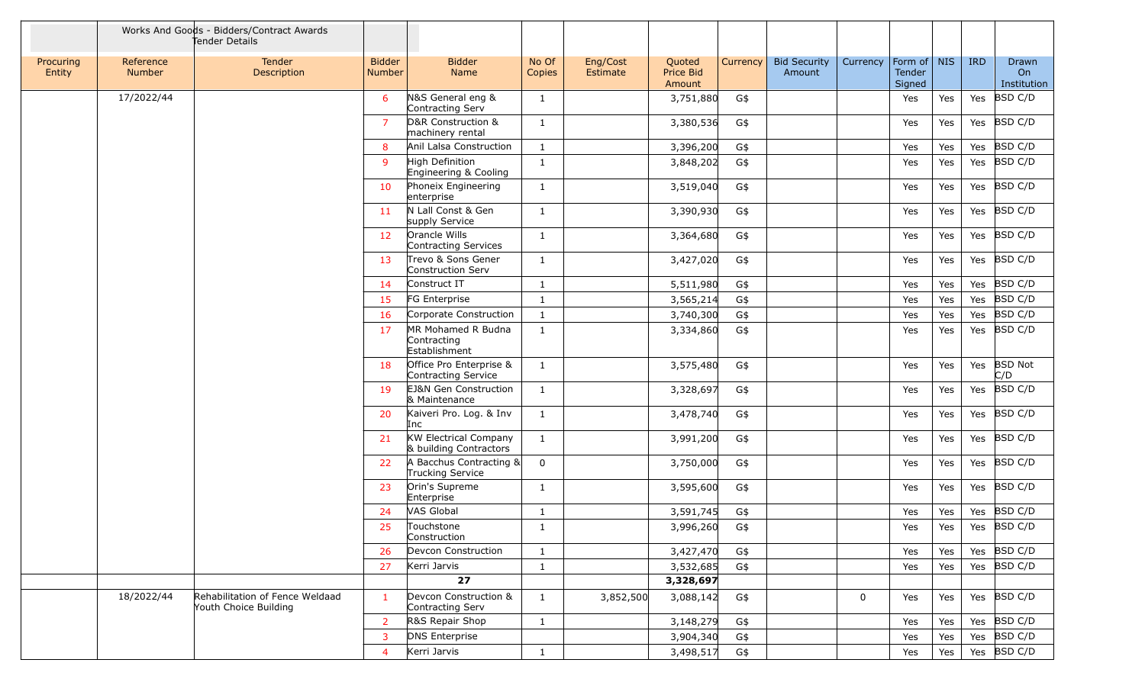|                     |                     | Works And Goods - Bidders/Contract Awards<br>Tender Details |                         |                                                        |                 |                      |                               |                 |                               |          |                                 |     |            |                            |
|---------------------|---------------------|-------------------------------------------------------------|-------------------------|--------------------------------------------------------|-----------------|----------------------|-------------------------------|-----------------|-------------------------------|----------|---------------------------------|-----|------------|----------------------------|
| Procuring<br>Entity | Reference<br>Number | <b>Tender</b><br>Description                                | <b>Bidder</b><br>Number | <b>Bidder</b><br>Name                                  | No Of<br>Copies | Eng/Cost<br>Estimate | Quoted<br>Price Bid<br>Amount | <b>Currency</b> | <b>Bid Security</b><br>Amount | Currency | Form of NIS<br>Tender<br>Signed |     | <b>IRD</b> | Drawn<br>On<br>Institution |
|                     | 17/2022/44          |                                                             | 6                       | N&S General eng &<br>Contracting Serv                  | 1               |                      | 3,751,880                     | G\$             |                               |          | Yes                             | Yes | Yes        | <b>BSD C/D</b>             |
|                     |                     |                                                             | $\overline{7}$          | D&R Construction &<br>machinery rental                 | 1               |                      | 3,380,536                     | G\$             |                               |          | Yes                             | Yes | Yes        | BSD C/D                    |
|                     |                     |                                                             | 8                       | Anil Lalsa Construction                                | -1              |                      | 3,396,200                     | G\$             |                               |          | Yes                             | Yes | Yes        | BSD C/D                    |
|                     |                     |                                                             | -9                      | High Definition<br>Engineering & Cooling               | $\mathbf{1}$    |                      | 3,848,202                     | G\$             |                               |          | Yes                             | Yes |            | Yes BSD C/D                |
|                     |                     |                                                             | 10                      | Phoneix Engineering<br>enterprise                      | $\mathbf{1}$    |                      | 3,519,040                     | G\$             |                               |          | Yes                             | Yes | Yes        | BSD C/D                    |
|                     |                     |                                                             | <b>11</b>               | N Lall Const & Gen<br>supply Service                   | $\mathbf{1}$    |                      | 3,390,930                     | G\$             |                               |          | Yes                             | Yes |            | Yes BSD C/D                |
|                     |                     |                                                             | 12                      | Orancle Wills<br>Contracting Services                  | -1              |                      | 3,364,680                     | G\$             |                               |          | Yes                             | Yes | Yes        | BSD C/D                    |
|                     |                     |                                                             | 13                      | Trevo & Sons Gener<br>Construction Serv                | 1               |                      | 3,427,020                     | G\$             |                               |          | Yes                             | Yes | Yes        | BSD C/D                    |
|                     |                     |                                                             | 14                      | Construct IT                                           | $\mathbf{1}$    |                      | 5,511,980                     | G\$             |                               |          | Yes                             | Yes |            | Yes BSD C/D                |
|                     |                     |                                                             | 15                      | FG Enterprise                                          | $\mathbf{1}$    |                      | 3,565,214                     | G\$             |                               |          | Yes                             | Yes |            | Yes BSD C/D                |
|                     |                     |                                                             | 16                      | Corporate Construction                                 | $\mathbf{1}$    |                      | 3,740,300                     | G\$             |                               |          | Yes                             | Yes |            | Yes BSD C/D                |
|                     |                     |                                                             | 17                      | MR Mohamed R Budna<br>Contracting<br>Establishment     | $\mathbf{1}$    |                      | 3,334,860                     | G\$             |                               |          | Yes                             | Yes | Yes        | BSD C/D                    |
|                     |                     |                                                             | 18                      | Office Pro Enterprise &<br>Contracting Service         | 1               |                      | 3,575,480                     | G\$             |                               |          | Yes                             | Yes | Yes        | <b>BSD Not</b><br>C/D      |
|                     |                     |                                                             | 19                      | EJ&N Gen Construction<br>& Maintenance                 | -1              |                      | 3,328,697                     | G\$             |                               |          | Yes                             | Yes | Yes        | BSD C/D                    |
|                     |                     |                                                             | 20                      | Kaiveri Pro. Log. & Inv<br>Inc                         | 1               |                      | 3,478,740                     | G\$             |                               |          | Yes                             | Yes |            | Yes BSD C/D                |
|                     |                     |                                                             | 21                      | <b>KW Electrical Company</b><br>& building Contractors | -1              |                      | 3,991,200                     | G\$             |                               |          | Yes                             | Yes |            | Yes BSD C/D                |
|                     |                     |                                                             | 22                      | A Bacchus Contracting &<br>Trucking Service            | $\mathbf 0$     |                      | 3,750,000                     | G\$             |                               |          | Yes                             | Yes |            | Yes BSD C/D                |
|                     |                     |                                                             | 23                      | Orin's Supreme<br>Enterprise                           | $\mathbf{1}$    |                      | 3,595,600                     | G\$             |                               |          | Yes                             | Yes | Yes        | BSD C/D                    |
|                     |                     |                                                             | 24                      | VAS Global                                             | 1               |                      | 3,591,745                     | G\$             |                               |          | Yes                             | Yes |            | Yes BSD C/D                |
|                     |                     |                                                             | 25                      | Touchstone<br>Construction                             | -1              |                      | 3,996,260                     | G\$             |                               |          | Yes                             | Yes |            | Yes $ BSD C/D$             |
|                     |                     |                                                             | 26                      | Devcon Construction                                    | $\mathbf{1}$    |                      | 3,427,470                     | G\$             |                               |          | Yes                             | Yes |            | Yes $ BSD C/D$             |
|                     |                     |                                                             | 27                      | Kerri Jarvis                                           | $\mathbf{1}$    |                      | 3,532,685                     | G\$             |                               |          | Yes                             | Yes |            | Yes BSD C/D                |
|                     |                     |                                                             |                         | 27                                                     |                 |                      | 3,328,697                     |                 |                               |          |                                 |     |            |                            |
|                     | 18/2022/44          | Rehabilitation of Fence Weldaad<br>Youth Choice Building    | $\mathbf{1}$            | Devcon Construction &<br>Contracting Serv              | $\mathbf{1}$    | 3,852,500            | 3,088,142                     | G\$             |                               | 0        | Yes                             | Yes |            | Yes BSD C/D                |
|                     |                     |                                                             | $\overline{2}$          | R&S Repair Shop                                        | $\mathbf{1}$    |                      | 3,148,279                     | G\$             |                               |          | Yes                             | Yes |            | Yes BSD C/D                |
|                     |                     |                                                             | $\overline{3}$          | <b>DNS Enterprise</b>                                  |                 |                      | 3,904,340                     | G\$             |                               |          | Yes                             | Yes |            | Yes BSD C/D                |
|                     |                     |                                                             | $\overline{4}$          | Kerri Jarvis                                           | $\mathbf{1}$    |                      | 3,498,517                     | G\$             |                               |          | Yes                             | Yes |            | Yes $ BSD C/D$             |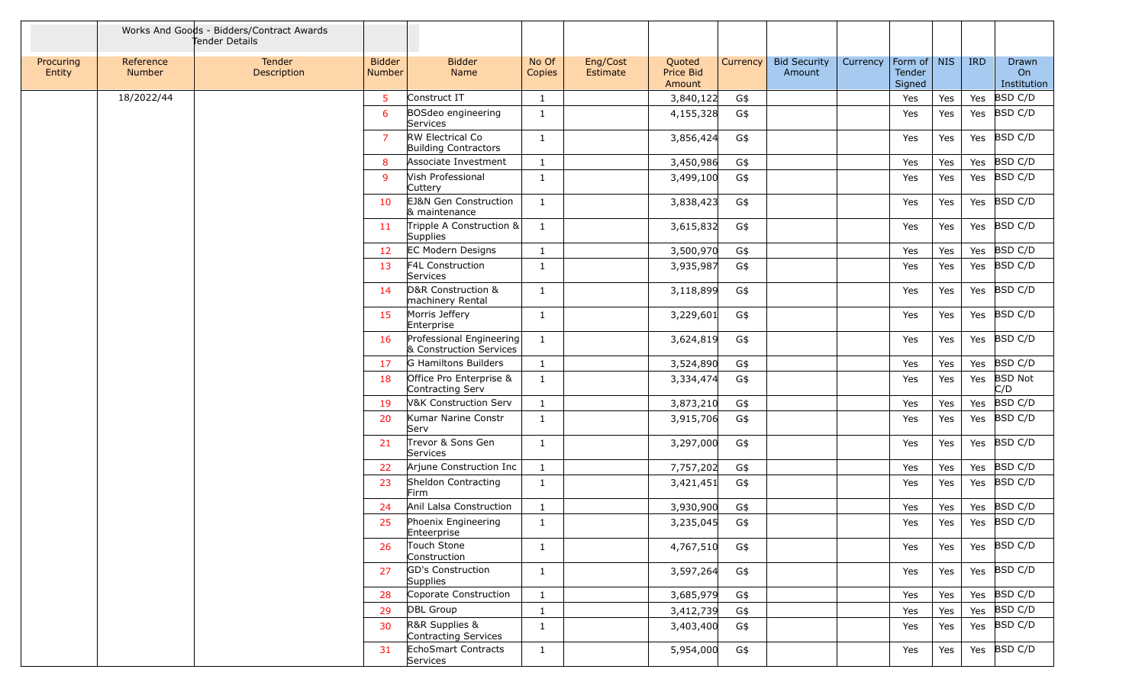|                     |                     | Works And Goods - Bidders/Contract Awards<br>Tender Details |                                |                                                     |                 |                      |                               |          |                               |          |                                 |     |            |                                   |
|---------------------|---------------------|-------------------------------------------------------------|--------------------------------|-----------------------------------------------------|-----------------|----------------------|-------------------------------|----------|-------------------------------|----------|---------------------------------|-----|------------|-----------------------------------|
| Procuring<br>Entity | Reference<br>Number | Tender<br>Description                                       | <b>Bidder</b><br><b>Number</b> | <b>Bidder</b><br>Name                               | No Of<br>Copies | Eng/Cost<br>Estimate | Quoted<br>Price Bid<br>Amount | Currency | <b>Bid Security</b><br>Amount | Currency | Form of NIS<br>Tender<br>Signed |     | <b>IRD</b> | Drawn<br><b>On</b><br>Institution |
|                     | 18/2022/44          |                                                             | 5                              | Construct IT                                        | $\mathbf{1}$    |                      | 3,840,122                     | G\$      |                               |          | Yes                             | Yes | Yes        | <b>BSD C/D</b>                    |
|                     |                     |                                                             | 6                              | BOSdeo engineering<br>Services                      | $\mathbf{1}$    |                      | 4,155,328                     | G\$      |                               |          | Yes                             | Yes | Yes        | <b>BSD C/D</b>                    |
|                     |                     |                                                             | $\overline{7}$                 | RW Electrical Co<br><b>Building Contractors</b>     | 1               |                      | 3,856,424                     | G\$      |                               |          | Yes                             | Yes | Yes        | <b>BSD C/D</b>                    |
|                     |                     |                                                             | 8                              | Associate Investment                                | $\mathbf{1}$    |                      | 3,450,986                     | G\$      |                               |          | Yes                             | Yes | Yes        | BSD C/D                           |
|                     |                     |                                                             | 9                              | Vish Professional<br>Cuttery                        | $\mathbf{1}$    |                      | 3,499,100                     | G\$      |                               |          | Yes                             | Yes | Yes        | <b>BSD C/D</b>                    |
|                     |                     |                                                             | 10                             | EJ&N Gen Construction<br>& maintenance              | $\mathbf{1}$    |                      | 3,838,423                     | G\$      |                               |          | Yes                             | Yes | Yes        | <b>BSD C/D</b>                    |
|                     |                     |                                                             | 11                             | Tripple A Construction &<br>Supplies                | 1               |                      | 3,615,832                     | G\$      |                               |          | Yes                             | Yes | Yes        | <b>BSD C/D</b>                    |
|                     |                     |                                                             | 12                             | EC Modern Designs                                   | 1               |                      | 3,500,970                     | G\$      |                               |          | Yes                             | Yes | Yes        | BSD C/D                           |
|                     |                     |                                                             | 13                             | F4L Construction<br>Services                        | 1               |                      | 3,935,987                     | G\$      |                               |          | Yes                             | Yes | Yes        | <b>BSD C/D</b>                    |
|                     |                     |                                                             | 14                             | D&R Construction &<br>machinery Rental              | 1               |                      | 3,118,899                     | G\$      |                               |          | Yes                             | Yes | Yes        | <b>BSD C/D</b>                    |
|                     |                     |                                                             | 15                             | Morris Jeffery<br>Enterprise                        | $\mathbf{1}$    |                      | 3,229,601                     | G\$      |                               |          | Yes                             | Yes | Yes        | <b>BSD C/D</b>                    |
|                     |                     |                                                             | 16                             | Professional Engineering<br>& Construction Services | $\mathbf{1}$    |                      | 3,624,819                     | G\$      |                               |          | Yes                             | Yes | Yes        | <b>BSD C/D</b>                    |
|                     |                     |                                                             | 17                             | G Hamiltons Builders                                | $\mathbf{1}$    |                      | 3,524,890                     | G\$      |                               |          | Yes                             | Yes | Yes        | <b>BSD C/D</b>                    |
|                     |                     |                                                             | 18                             | Office Pro Enterprise &<br>Contracting Serv         | $\mathbf{1}$    |                      | 3,334,474                     | G\$      |                               |          | Yes                             | Yes | Yes        | <b>BSD Not</b><br>C/D             |
|                     |                     |                                                             | 19                             | <b>V&amp;K Construction Serv</b>                    | 1               |                      | 3,873,210                     | G\$      |                               |          | Yes                             | Yes | Yes        | <b>BSD C/D</b>                    |
|                     |                     |                                                             | 20                             | Kumar Narine Constr<br>Serv                         | $\mathbf{1}$    |                      | 3,915,706                     | G\$      |                               |          | Yes                             | Yes | Yes        | <b>BSD C/D</b>                    |
|                     |                     |                                                             | 21                             | Trevor & Sons Gen<br>Services                       | 1               |                      | 3,297,000                     | G\$      |                               |          | Yes                             | Yes | Yes        | BSD C/D                           |
|                     |                     |                                                             | 22                             | Arjune Construction Inc                             | $\mathbf{1}$    |                      | 7,757,202                     | G\$      |                               |          | Yes                             | Yes | Yes        | BSD C/D                           |
|                     |                     |                                                             | 23                             | Sheldon Contracting<br>Firm                         | $\mathbf{1}$    |                      | 3,421,451                     | G\$      |                               |          | Yes                             | Yes | Yes        | <b>BSD C/D</b>                    |
|                     |                     |                                                             | 24                             | Anil Lalsa Construction                             | $\mathbf{1}$    |                      | 3,930,900                     | G\$      |                               |          | Yes                             | Yes | Yes        | BSD C/D                           |
|                     |                     |                                                             | 25                             | Phoenix Engineering<br>Enteerprise                  | $\mathbf{1}$    |                      | 3,235,045                     | G\$      |                               |          | Yes                             | Yes | Yes        | <b>BSD C/D</b>                    |
|                     |                     |                                                             | 26                             | Touch Stone<br>Construction                         | 1               |                      | 4,767,510                     | G\$      |                               |          | Yes                             | Yes |            | Yes BSD C/D                       |
|                     |                     |                                                             | 27                             | GD's Construction<br>Supplies                       | $\mathbf{1}$    |                      | 3,597,264                     | G\$      |                               |          | Yes                             | Yes |            | Yes BSD C/D                       |
|                     |                     |                                                             | 28                             | Coporate Construction                               | $\mathbf{1}$    |                      | 3,685,979                     | G\$      |                               |          | Yes                             | Yes | Yes        | BSD C/D                           |
|                     |                     |                                                             | 29                             | DBL Group                                           | $\mathbf{1}$    |                      | 3,412,739                     | G\$      |                               |          | Yes                             | Yes |            | Yes BSD C/D                       |
|                     |                     |                                                             | 30                             | R&R Supplies &<br>Contracting Services              | $\mathbf{1}$    |                      | 3,403,400                     | G\$      |                               |          | Yes                             | Yes |            | Yes BSD C/D                       |
|                     |                     |                                                             | 31                             | EchoSmart Contracts<br>Services                     | $\mathbf{1}$    |                      | 5,954,000                     | G\$      |                               |          | Yes                             | Yes |            | Yes BSD C/D                       |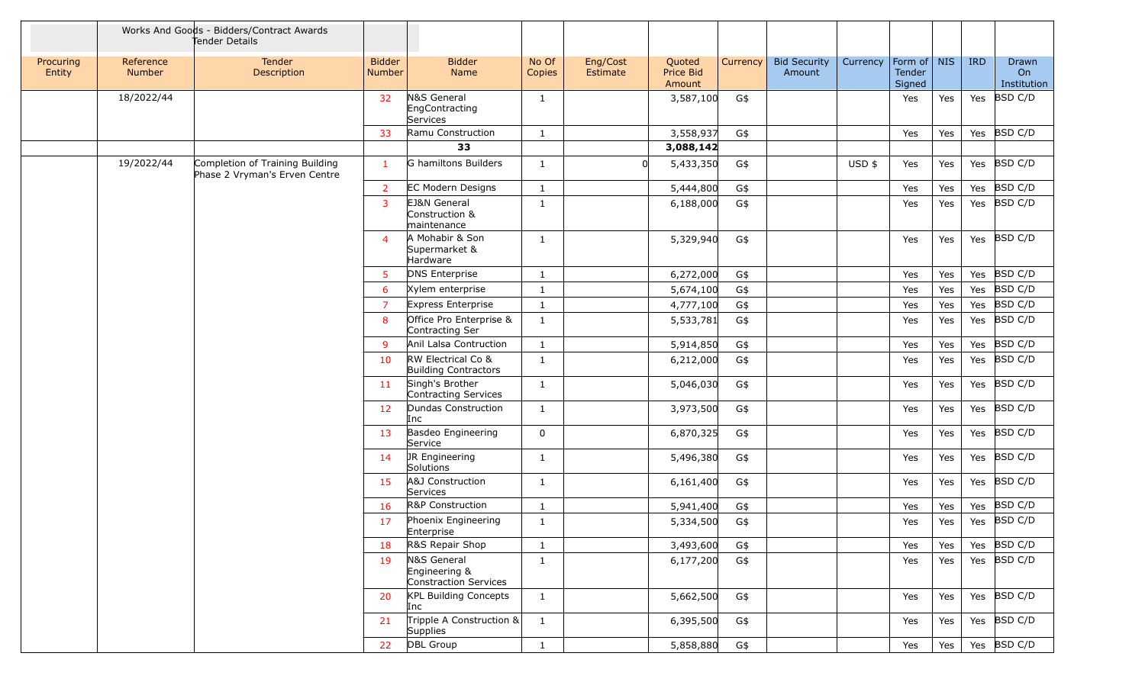|                     |                            | Works And Goods - Bidders/Contract Awards<br>Tender Details      |                                |                                                       |                 |                      |                               |          |                               |          |                                   |     |            |                            |
|---------------------|----------------------------|------------------------------------------------------------------|--------------------------------|-------------------------------------------------------|-----------------|----------------------|-------------------------------|----------|-------------------------------|----------|-----------------------------------|-----|------------|----------------------------|
| Procuring<br>Entity | Reference<br><b>Number</b> | Tender<br>Description                                            | <b>Bidder</b><br><b>Number</b> | <b>Bidder</b><br>Name                                 | No Of<br>Copies | Eng/Cost<br>Estimate | Quoted<br>Price Bid<br>Amount | Currency | <b>Bid Security</b><br>Amount | Currency | Form of   NIS<br>Tender<br>Signed |     | <b>IRD</b> | Drawn<br>On<br>Institution |
|                     | 18/2022/44                 |                                                                  | 32                             | N&S General<br>EngContracting<br>Services             | 1               |                      | 3,587,100                     | G\$      |                               |          | Yes                               | Yes | Yes        | BSD C/D                    |
|                     |                            |                                                                  | 33                             | Ramu Construction                                     | $\mathbf{1}$    |                      | 3,558,937                     | G\$      |                               |          | Yes                               | Yes | Yes        | BSD C/D                    |
|                     |                            |                                                                  |                                | 33                                                    |                 |                      | 3,088,142                     |          |                               |          |                                   |     |            |                            |
|                     | 19/2022/44                 | Completion of Training Building<br>Phase 2 Vryman's Erven Centre | $\mathbf{1}$                   | G hamiltons Builders                                  | $\mathbf{1}$    |                      | 5,433,350                     | G\$      |                               | $USD$ \$ | Yes                               | Yes | Yes        | BSD C/D                    |
|                     |                            |                                                                  | $\overline{2}$                 | <b>EC Modern Designs</b>                              | $\mathbf{1}$    |                      | 5,444,800                     | G\$      |                               |          | Yes                               | Yes | Yes        | BSD C/D                    |
|                     |                            |                                                                  | 3                              | EJ&N General<br>Construction &<br>maintenance         | $\mathbf{1}$    |                      | 6,188,000                     | G\$      |                               |          | Yes                               | Yes | Yes        | BSD C/D                    |
|                     |                            |                                                                  | $\overline{4}$                 | A Mohabir & Son<br>Supermarket &<br>Hardware          | 1               |                      | 5,329,940                     | G\$      |                               |          | Yes                               | Yes | Yes        | BSD C/D                    |
|                     |                            |                                                                  | 5                              | <b>DNS Enterprise</b>                                 | $\mathbf{1}$    |                      | 6,272,000                     | G\$      |                               |          | Yes                               | Yes | Yes        | BSD C/D                    |
|                     |                            |                                                                  | 6                              | Xylem enterprise                                      | -1              |                      | 5,674,100                     | G\$      |                               |          | Yes                               | Yes | Yes        | BSD C/D                    |
|                     |                            |                                                                  | $\overline{7}$                 | Express Enterprise                                    | $\mathbf{1}$    |                      | 4,777,100                     | G\$      |                               |          | Yes                               | Yes | Yes        | BSD C/D                    |
|                     |                            |                                                                  | 8                              | Office Pro Enterprise &<br>Contracting Ser            | $\mathbf{1}$    |                      | 5,533,781                     | G\$      |                               |          | Yes                               | Yes | Yes        | BSD C/D                    |
|                     |                            |                                                                  | 9                              | Anil Lalsa Contruction                                | $\mathbf{1}$    |                      | 5,914,850                     | G\$      |                               |          | Yes                               | Yes | Yes        | <b>BSD C/D</b>             |
|                     |                            |                                                                  | 10                             | RW Electrical Co &<br><b>Building Contractors</b>     | $\mathbf{1}$    |                      | 6,212,000                     | G\$      |                               |          | Yes                               | Yes | Yes        | BSD C/D                    |
|                     |                            |                                                                  | 11                             | Singh's Brother<br>Contracting Services               | $\mathbf{1}$    |                      | 5,046,030                     | G\$      |                               |          | Yes                               | Yes | Yes        | BSD C/D                    |
|                     |                            |                                                                  | 12                             | Dundas Construction<br>Inc                            | 1               |                      | 3,973,500                     | G\$      |                               |          | Yes                               | Yes | Yes        | BSD C/D                    |
|                     |                            |                                                                  | 13                             | Basdeo Engineering<br>Service                         | 0               |                      | 6,870,325                     | G\$      |                               |          | Yes                               | Yes | Yes        | BSD C/D                    |
|                     |                            |                                                                  | 14                             | JR Engineering<br>Solutions                           | -1              |                      | 5,496,380                     | G\$      |                               |          | Yes                               | Yes | Yes        | BSD C/D                    |
|                     |                            |                                                                  | <b>15</b>                      | A&J Construction<br>Services                          | $\mathbf{1}$    |                      | 6,161,400                     | G\$      |                               |          | Yes                               | Yes | Yes        | BSD C/D                    |
|                     |                            |                                                                  | 16                             | R&P Construction                                      | $\mathbf{1}$    |                      | 5,941,400                     | G\$      |                               |          | Yes                               | Yes | Yes        | BSD C/D                    |
|                     |                            |                                                                  | 17                             | Phoenix Engineering<br>Enterprise                     | $\mathbf{1}$    |                      | 5,334,500                     | G\$      |                               |          | Yes                               | Yes | Yes        | BSD C/D                    |
|                     |                            |                                                                  | 18                             | R&S Repair Shop                                       | $\mathbf{1}$    |                      | 3,493,600                     | G\$      |                               |          | Yes                               | Yes | Yes        | BSD C/D                    |
|                     |                            |                                                                  | -19                            | N&S General<br>Engineering &<br>Constraction Services | $\mathbf{1}$    |                      | 6,177,200                     | G\$      |                               |          | Yes                               | Yes | Yes        | BSD C/D                    |
|                     |                            |                                                                  | 20                             | <b>KPL Building Concepts</b><br>Inc                   | $\mathbf{1}$    |                      | 5,662,500                     | G\$      |                               |          | Yes                               | Yes | Yes        | BSD C/D                    |
|                     |                            |                                                                  | 21                             | Tripple A Construction &<br>Supplies                  | $\mathbf{1}$    |                      | 6,395,500                     | G\$      |                               |          | Yes                               | Yes |            | Yes BSD C/D                |
|                     |                            |                                                                  | 22                             | DBL Group                                             | $\mathbf{1}$    |                      | 5,858,880                     | G\$      |                               |          | Yes                               | Yes |            | Yes $ BSD C/D$             |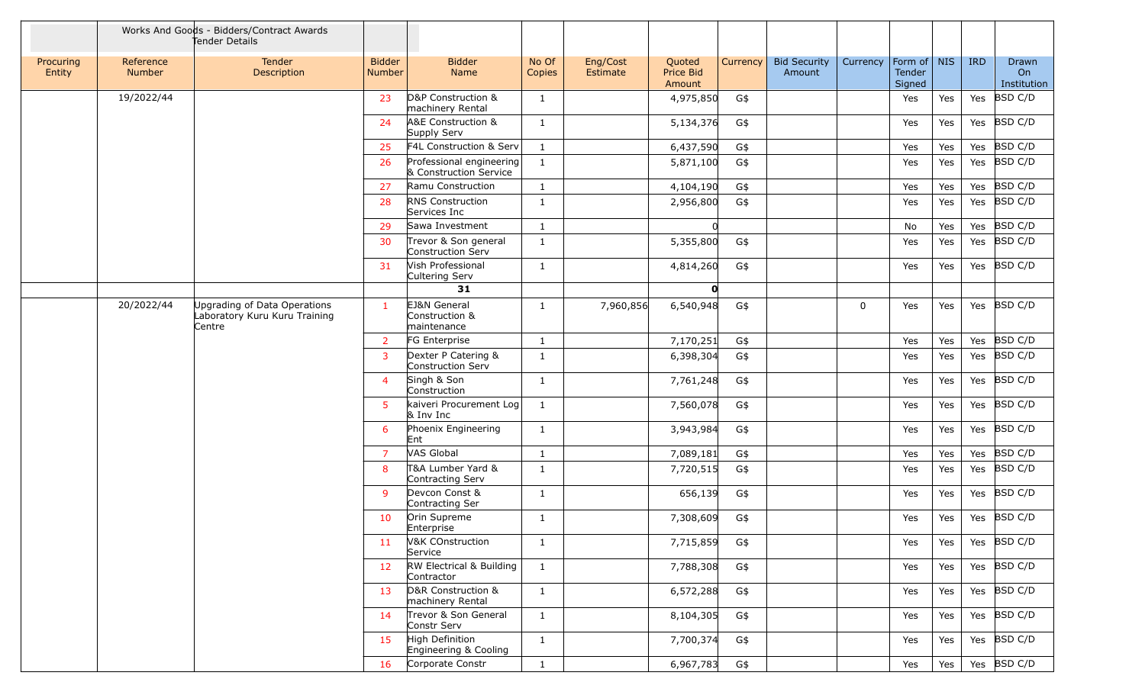|                     |                     | Works And Goods - Bidders/Contract Awards<br>Tender Details             |                                |                                                    |                 |                      |                               |          |                               |          |                                 |     |            |                            |
|---------------------|---------------------|-------------------------------------------------------------------------|--------------------------------|----------------------------------------------------|-----------------|----------------------|-------------------------------|----------|-------------------------------|----------|---------------------------------|-----|------------|----------------------------|
| Procuring<br>Entity | Reference<br>Number | <b>Tender</b><br>Description                                            | <b>Bidder</b><br><b>Number</b> | <b>Bidder</b><br>Name                              | No Of<br>Copies | Eng/Cost<br>Estimate | Quoted<br>Price Bid<br>Amount | Currency | <b>Bid Security</b><br>Amount | Currency | Form of NIS<br>Tender<br>Signed |     | <b>IRD</b> | Drawn<br>On<br>Institution |
|                     | 19/2022/44          |                                                                         | 23                             | D&P Construction &<br>machinery Rental             | 1               |                      | 4,975,850                     | G\$      |                               |          | Yes                             | Yes | Yes        | <b>BSD C/D</b>             |
|                     |                     |                                                                         | 24                             | A&E Construction &<br>Supply Serv                  | $\mathbf{1}$    |                      | 5,134,376                     | G\$      |                               |          | Yes                             | Yes | Yes        | BSD C/D                    |
|                     |                     |                                                                         | 25                             | F4L Construction & Serv                            | $\mathbf{1}$    |                      | 6,437,590                     | G\$      |                               |          | Yes                             | Yes | Yes        | <b>BSD C/D</b>             |
|                     |                     |                                                                         | 26                             | Professional engineering<br>& Construction Service | 1               |                      | 5,871,100                     | G\$      |                               |          | Yes                             | Yes | Yes        | BSD C/D                    |
|                     |                     |                                                                         | 27                             | Ramu Construction                                  | $\mathbf{1}$    |                      | 4,104,190                     | G\$      |                               |          | Yes                             | Yes | Yes        | BSD C/D                    |
|                     |                     |                                                                         | 28                             | <b>RNS Construction</b><br>Services Inc            | $\mathbf{1}$    |                      | 2,956,800                     | G\$      |                               |          | Yes                             | Yes | Yes        | <b>BSD C/D</b>             |
|                     |                     |                                                                         | 29                             | Sawa Investment                                    | $\mathbf{1}$    |                      | <sup>0</sup>                  |          |                               |          | No                              | Yes | Yes        | <b>BSD C/D</b>             |
|                     |                     |                                                                         | 30                             | Trevor & Son general<br>Construction Serv          | $\mathbf{1}$    |                      | 5,355,800                     | G\$      |                               |          | Yes                             | Yes | Yes        | <b>BSD C/D</b>             |
|                     |                     |                                                                         | 31                             | Vish Professional<br>Cultering Serv                | $\mathbf{1}$    |                      | 4,814,260                     | G\$      |                               |          | Yes                             | Yes | Yes        | BSD C/D                    |
|                     |                     |                                                                         |                                | 31                                                 |                 |                      | O                             |          |                               |          |                                 |     |            |                            |
|                     | 20/2022/44          | Upgrading of Data Operations<br>Laboratory Kuru Kuru Training<br>Centre | -1                             | EJ&N General<br>Construction &<br>maintenance      | -1              | 7,960,856            | 6,540,948                     | G\$      |                               | 0        | Yes                             | Yes | Yes        | BSD C/D                    |
|                     |                     |                                                                         | $\overline{2}$                 | FG Enterprise                                      | $\mathbf{1}$    |                      | 7,170,251                     | G\$      |                               |          | Yes                             | Yes | Yes        | BSD C/D                    |
|                     |                     |                                                                         | 3                              | Dexter P Catering &<br>Construction Serv           | $\mathbf{1}$    |                      | 6,398,304                     | G\$      |                               |          | Yes                             | Yes | Yes        | <b>BSD C/D</b>             |
|                     |                     |                                                                         | $\overline{4}$                 | Singh & Son<br>Construction                        | -1              |                      | 7,761,248                     | G\$      |                               |          | Yes                             | Yes | Yes        | BSD C/D                    |
|                     |                     |                                                                         | 5 <sup>1</sup>                 | kaiveri Procurement Log<br>$8$ Inv Inc             | $\mathbf{1}$    |                      | 7,560,078                     | G\$      |                               |          | Yes                             | Yes | Yes        | BSD C/D                    |
|                     |                     |                                                                         | 6                              | Phoenix Engineering<br>Ent                         | 1               |                      | 3,943,984                     | G\$      |                               |          | Yes                             | Yes | Yes        | BSD C/D                    |
|                     |                     |                                                                         | $\overline{7}$                 | VAS Global                                         | $\mathbf{1}$    |                      | 7,089,181                     | G\$      |                               |          | Yes                             | Yes | Yes        | BSD C/D                    |
|                     |                     |                                                                         | 8                              | T&A Lumber Yard &<br>Contracting Serv              | $\mathbf{1}$    |                      | 7,720,515                     | G\$      |                               |          | Yes                             | Yes | Yes        | BSD C/D                    |
|                     |                     |                                                                         | 9                              | Devcon Const &<br>Contracting Ser                  | $\mathbf{1}$    |                      | 656,139                       | G\$      |                               |          | Yes                             | Yes | Yes        | <b>BSD C/D</b>             |
|                     |                     |                                                                         | 10                             | Orin Supreme<br>Enterprise                         | 1               |                      | 7,308,609                     | G\$      |                               |          | Yes                             | Yes | Yes        | BSD C/D                    |
|                     |                     |                                                                         | 11                             | V&K COnstruction<br>Service                        | $\mathbf{1}$    |                      | 7,715,859                     | G\$      |                               |          | Yes                             | Yes | Yes        | BSD C/D                    |
|                     |                     |                                                                         | 12                             | RW Electrical & Building<br>Contractor             | $\mathbf{1}$    |                      | 7,788,308                     | G\$      |                               |          | Yes                             | Yes |            | Yes $ BSD C/D $            |
|                     |                     |                                                                         | 13                             | D&R Construction &<br>machinery Rental             | $\mathbf{1}$    |                      | 6,572,288                     | G\$      |                               |          | Yes                             | Yes |            | Yes BSD C/D                |
|                     |                     |                                                                         | 14                             | Trevor & Son General<br>Constr Serv                | $\mathbf{1}$    |                      | 8,104,305                     | G\$      |                               |          | Yes                             | Yes |            | Yes BSD C/D                |
|                     |                     |                                                                         | 15                             | High Definition<br>Engineering & Cooling           | $\mathbf{1}$    |                      | 7,700,374                     | G\$      |                               |          | Yes                             | Yes |            | Yes $ BSD C/D$             |
|                     |                     |                                                                         | 16                             | Corporate Constr                                   | $\mathbf{1}$    |                      | 6,967,783                     | G\$      |                               |          | Yes                             | Yes |            | Yes $ BSD C/D$             |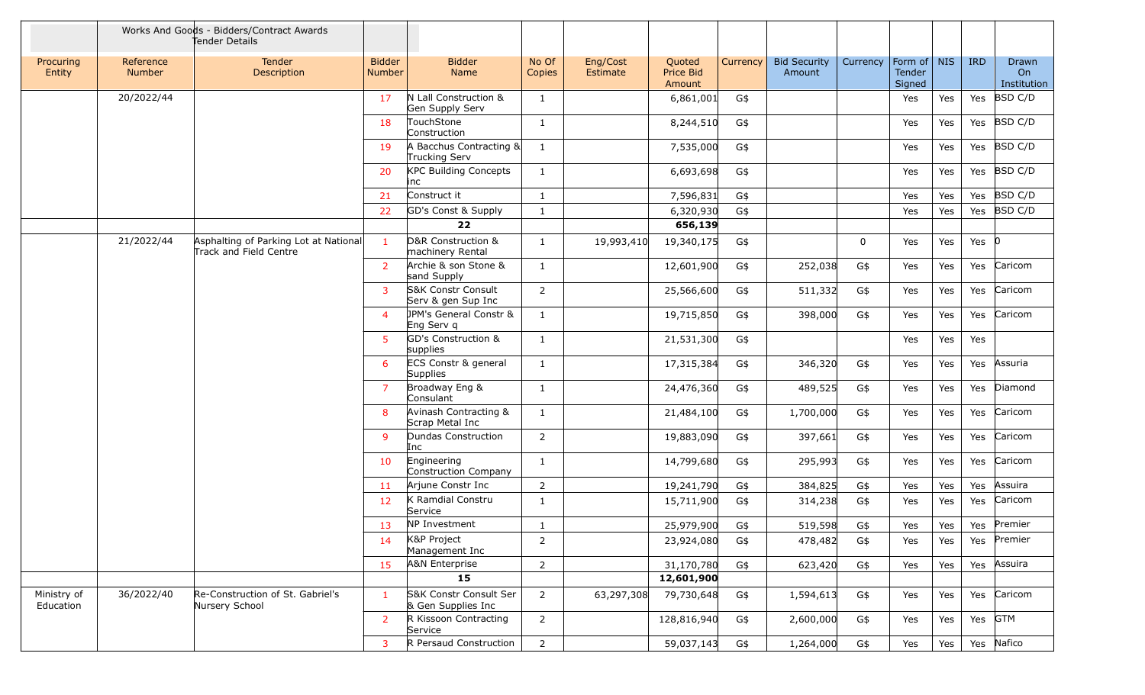|                          |                     | Works And Goods - Bidders/Contract Awards<br>Tender Details     |                         |                                                 |                 |                      |                               |                 |                               |             |                                   |     |            |                            |
|--------------------------|---------------------|-----------------------------------------------------------------|-------------------------|-------------------------------------------------|-----------------|----------------------|-------------------------------|-----------------|-------------------------------|-------------|-----------------------------------|-----|------------|----------------------------|
| Procuring<br>Entity      | Reference<br>Number | Tender<br>Description                                           | <b>Bidder</b><br>Number | <b>Bidder</b><br>Name                           | No Of<br>Copies | Eng/Cost<br>Estimate | Quoted<br>Price Bid<br>Amount | <b>Currency</b> | <b>Bid Security</b><br>Amount | Currency    | Form of   NIS<br>Tender<br>Signed |     | <b>IRD</b> | Drawn<br>On<br>Institution |
|                          | 20/2022/44          |                                                                 | 17                      | N Lall Construction &<br>Gen Supply Serv        | 1               |                      | 6,861,001                     | G\$             |                               |             | Yes                               | Yes | Yes        | <b>BSD C/D</b>             |
|                          |                     |                                                                 | 18                      | TouchStone<br>Construction                      | 1               |                      | 8,244,510                     | G\$             |                               |             | Yes                               | Yes | Yes        | <b>BSD C/D</b>             |
|                          |                     |                                                                 | 19                      | A Bacchus Contracting &<br>Trucking Serv        | 1               |                      | 7,535,000                     | G\$             |                               |             | Yes                               | Yes | Yes        | <b>BSD C/D</b>             |
|                          |                     |                                                                 | 20                      | <b>KPC Building Concepts</b><br>inc             | 1               |                      | 6,693,698                     | G\$             |                               |             | Yes                               | Yes | Yes        | <b>BSD C/D</b>             |
|                          |                     |                                                                 | 21                      | Construct it                                    | 1               |                      | 7,596,831                     | G\$             |                               |             | Yes                               | Yes | Yes        | BSD C/D                    |
|                          |                     |                                                                 | 22                      | GD's Const & Supply                             | 1               |                      | 6,320,930                     | G\$             |                               |             | Yes                               | Yes | Yes        | BSD C/D                    |
|                          |                     |                                                                 |                         | 22                                              |                 |                      | 656,139                       |                 |                               |             |                                   |     |            |                            |
|                          | 21/2022/44          | Asphalting of Parking Lot at National<br>Track and Field Centre | $\mathbf{1}$            | D&R Construction &<br>machinery Rental          | $\mathbf{1}$    | 19,993,410           | 19,340,175                    | G\$             |                               | $\mathbf 0$ | Yes                               | Yes | Yes $ 0 $  |                            |
|                          |                     |                                                                 | $\overline{2}$          | Archie & son Stone &<br>sand Supply             | $\mathbf{1}$    |                      | 12,601,900                    | G\$             | 252,038                       | G\$         | Yes                               | Yes | Yes        | Caricom                    |
|                          |                     |                                                                 | $\overline{3}$          | S&K Constr Consult<br>Serv & gen Sup Inc        | $\overline{2}$  |                      | 25,566,600                    | G\$             | 511,332                       | G\$         | Yes                               | Yes | Yes        | Caricom                    |
|                          |                     |                                                                 | $\overline{4}$          | <b>JPM's General Constr &amp;</b><br>Eng Serv q | 1               |                      | 19,715,850                    | G\$             | 398,000                       | G\$         | Yes                               | Yes | Yes        | Caricom                    |
|                          |                     |                                                                 | 5.                      | GD's Construction &<br>supplies                 | 1               |                      | 21,531,300                    | G\$             |                               |             | Yes                               | Yes | Yes        |                            |
|                          |                     |                                                                 | 6                       | ECS Constr & general<br><b>Supplies</b>         | 1               |                      | 17,315,384                    | G\$             | 346,320                       | G\$         | Yes                               | Yes | Yes        | Assuria                    |
|                          |                     |                                                                 | 7                       | Broadway Eng &<br>Consulant                     | 1               |                      | 24,476,360                    | G\$             | 489,525                       | G\$         | Yes                               | Yes | Yes        | Diamond                    |
|                          |                     |                                                                 | 8                       | Avinash Contracting &<br>Scrap Metal Inc        | 1               |                      | 21,484,100                    | G\$             | 1,700,000                     | G\$         | Yes                               | Yes | Yes        | Caricom                    |
|                          |                     |                                                                 | 9                       | Dundas Construction<br>Inc                      | $\overline{2}$  |                      | 19,883,090                    | G\$             | 397,661                       | G\$         | Yes                               | Yes | Yes        | Caricom                    |
|                          |                     |                                                                 | 10                      | Engineering<br>Construction Company             | 1               |                      | 14,799,680                    | G\$             | 295,993                       | G\$         | Yes                               | Yes | Yes        | Caricom                    |
|                          |                     |                                                                 | 11                      | Arjune Constr Inc                               | $\overline{2}$  |                      | 19,241,790                    | G\$             | 384,825                       | G\$         | Yes                               | Yes | Yes        | Assuira                    |
|                          |                     |                                                                 | 12                      | K Ramdial Constru<br>Service                    | 1               |                      | 15,711,900                    | G\$             | 314,238                       | G\$         | Yes                               | Yes | Yes        | Caricom                    |
|                          |                     |                                                                 | 13                      | NP Investment                                   | -1              |                      | 25,979,900                    | G\$             | 519,598                       | G\$         | Yes                               | Yes |            | Yes Premier                |
|                          |                     |                                                                 | 14                      | K&P Project<br>Management Inc                   | 2               |                      | 23,924,080                    | G\$             | 478,482                       | G\$         | Yes                               | Yes | Yes        | Premier                    |
|                          |                     |                                                                 | 15                      | A&N Enterprise                                  | 2               |                      | 31,170,780                    | G\$             | 623,420                       | G\$         | Yes                               | Yes | Yes        | Assuira                    |
|                          |                     |                                                                 |                         | 15                                              |                 |                      | 12,601,900                    |                 |                               |             |                                   |     |            |                            |
| Ministry of<br>Education | 36/2022/40          | Re-Construction of St. Gabriel's<br>Nursery School              | 1                       | S&K Constr Consult Ser<br>& Gen Supplies Inc    | $\overline{2}$  | 63,297,308           | 79,730,648                    | G\$             | 1,594,613                     | G\$         | Yes                               | Yes | Yes        | Caricom                    |
|                          |                     |                                                                 | 2                       | R Kissoon Contracting<br>Service                | $\overline{2}$  |                      | 128,816,940                   | G\$             | 2,600,000                     | G\$         | Yes                               | Yes | Yes        | GTM                        |
|                          |                     |                                                                 | $\mathbf{3}$            | R Persaud Construction                          | $\overline{2}$  |                      | 59,037,143                    | G\$             | 1,264,000                     | G\$         | Yes                               | Yes |            | Yes Nafico                 |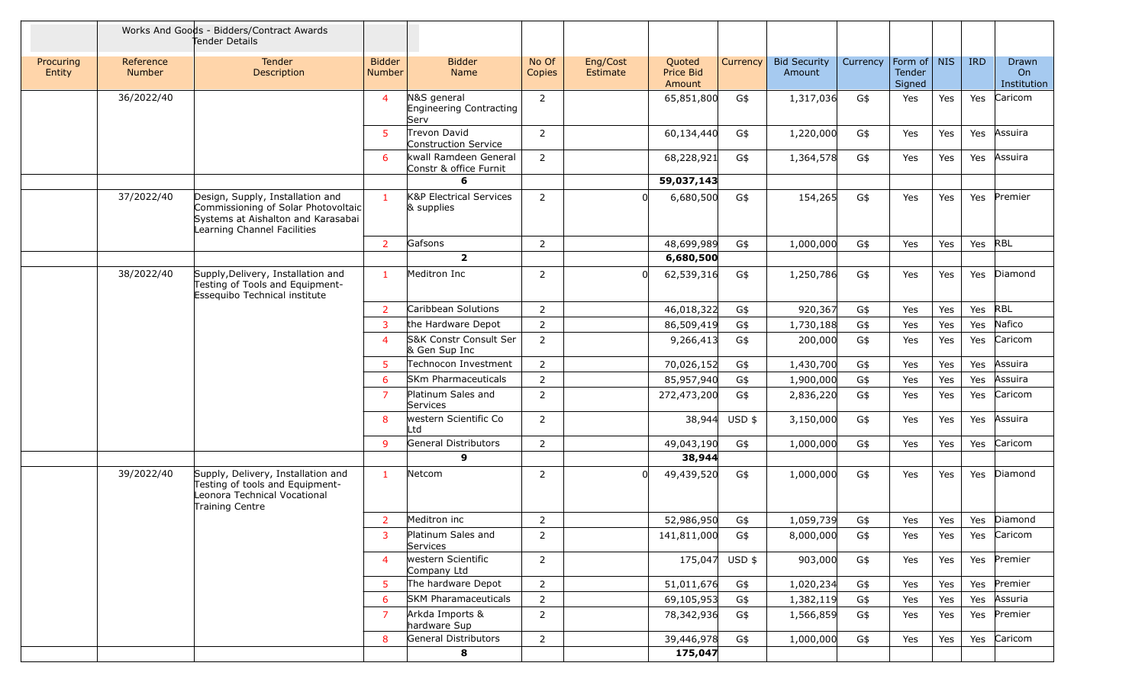|                     |                     | Works And Goods - Bidders/Contract Awards<br>Tender Details                                                                                  |                                |                                                  |                 |                      |                               |                |                               |          |                                   |            |            |                            |
|---------------------|---------------------|----------------------------------------------------------------------------------------------------------------------------------------------|--------------------------------|--------------------------------------------------|-----------------|----------------------|-------------------------------|----------------|-------------------------------|----------|-----------------------------------|------------|------------|----------------------------|
| Procuring<br>Entity | Reference<br>Number | Tender<br>Description                                                                                                                        | <b>Bidder</b><br><b>Number</b> | <b>Bidder</b><br>Name                            | No Of<br>Copies | Eng/Cost<br>Estimate | Quoted<br>Price Bid<br>Amount | Currency       | <b>Bid Security</b><br>Amount | Currency | Form of   NIS<br>Tender<br>Signed |            | <b>IRD</b> | Drawn<br>On<br>Institution |
|                     | 36/2022/40          |                                                                                                                                              | $\overline{4}$                 | N&S general<br>Engineering Contracting<br>Serv   | 2               |                      | 65,851,800                    | G\$            | 1,317,036                     | G\$      | Yes                               | Yes        | Yes        | Caricom                    |
|                     |                     |                                                                                                                                              | $5^{\circ}$                    | Trevon David<br>Construction Service             | $\overline{2}$  |                      | 60,134,440                    | G\$            | 1,220,000                     | G\$      | Yes                               | Yes        | Yes        | Assuira                    |
|                     |                     |                                                                                                                                              | 6                              | kwall Ramdeen General<br>Constr & office Furnit  | 2               |                      | 68,228,921                    | G\$            | 1,364,578                     | G\$      | Yes                               | Yes        | Yes        | Assuira                    |
|                     |                     |                                                                                                                                              |                                | 6                                                |                 |                      | 59,037,143                    |                |                               |          |                                   |            |            |                            |
|                     | 37/2022/40          | Design, Supply, Installation and<br>Commissioning of Solar Photovoltaic<br>Systems at Aishalton and Karasabai<br>Learning Channel Facilities | $\mathbf{1}$                   | <b>K&amp;P Electrical Services</b><br>& supplies | 2               |                      | 6,680,500                     | G\$            | 154,265                       | G\$      | Yes                               | <b>Yes</b> | Yes        | Premier                    |
|                     |                     |                                                                                                                                              | $\overline{2}$                 | Gafsons                                          | $\overline{2}$  |                      | 48,699,989                    | G\$            | 1,000,000                     | G\$      | Yes                               | Yes        | Yes        | RBL                        |
|                     |                     |                                                                                                                                              |                                | $\overline{2}$                                   |                 |                      | 6,680,500                     |                |                               |          |                                   |            |            |                            |
|                     | 38/2022/40          | Supply, Delivery, Installation and<br>Testing of Tools and Equipment-<br>Essequibo Technical institute                                       | $\mathbf{1}$                   | Meditron Inc                                     | $\overline{2}$  |                      | 62,539,316                    | G\$            | 1,250,786                     | G\$      | Yes                               | Yes        | Yes        | Diamond                    |
|                     |                     |                                                                                                                                              | $\overline{2}$                 | Caribbean Solutions                              | 2               |                      | 46,018,322                    | G\$            | 920,367                       | G\$      | Yes                               | Yes        | Yes        | <b>RBL</b>                 |
|                     |                     |                                                                                                                                              | $\overline{3}$                 | the Hardware Depot                               | 2               |                      | 86,509,419                    | G\$            | 1,730,188                     | G\$      | Yes                               | Yes        | Yes        | Nafico                     |
|                     |                     |                                                                                                                                              | $\overline{4}$                 | S&K Constr Consult Ser<br>& Gen Sup Inc          | $\overline{2}$  |                      | 9,266,413                     | G\$            | 200,000                       | G\$      | Yes                               | Yes        | Yes        | Caricom                    |
|                     |                     |                                                                                                                                              | $5^{\circ}$                    | Technocon Investment                             | $\overline{2}$  |                      | 70,026,152                    | G\$            | 1,430,700                     | G\$      | Yes                               | Yes        | Yes        | Assuira                    |
|                     |                     |                                                                                                                                              | 6                              | <b>SKm Pharmaceuticals</b>                       | 2               |                      | 85,957,940                    | G\$            | 1,900,000                     | G\$      | Yes                               | Yes        | Yes        | Assuira                    |
|                     |                     |                                                                                                                                              | $\overline{7}$                 | Platinum Sales and<br>Services                   | $\overline{2}$  |                      | 272,473,200                   | G\$            | 2,836,220                     | G\$      | Yes                               | Yes        | Yes        | Caricom                    |
|                     |                     |                                                                                                                                              | 8                              | western Scientific Co<br>Ltd                     | 2               |                      | 38,944                        | $USD$ \$       | 3,150,000                     | G\$      | Yes                               | Yes        | Yes        | Assuira                    |
|                     |                     |                                                                                                                                              | 9                              | General Distributors                             | 2               |                      | 49,043,190                    | G\$            | 1,000,000                     | G\$      | Yes                               | Yes        | Yes        | Caricom                    |
|                     |                     |                                                                                                                                              |                                | 9                                                |                 |                      | 38,944                        |                |                               |          |                                   |            |            |                            |
|                     | 39/2022/40          | Supply, Delivery, Installation and<br>Testing of tools and Equipment-<br>Leonora Technical Vocational<br>Training Centre                     | $\mathbf{1}$                   | Netcom                                           | 2               |                      | 49,439,520                    | G\$            | 1,000,000                     | G\$      | Yes                               | Yes        | Yes        | Diamond                    |
|                     |                     |                                                                                                                                              | $\overline{2}$                 | Meditron inc                                     | $\overline{2}$  |                      | 52,986,950                    | G\$            | 1,059,739                     | G\$      | Yes                               | Yes        |            | Yes Diamond                |
|                     |                     |                                                                                                                                              | 3                              | Platinum Sales and<br>Services                   | 2               |                      | 141,811,000                   | G\$            | 8,000,000                     | G\$      | Yes                               | Yes        | Yes        | Caricom                    |
|                     |                     |                                                                                                                                              | $\overline{4}$                 | western Scientific<br>Company Ltd                | $\overline{2}$  |                      |                               | 175,047 USD \$ | 903,000                       | G\$      | Yes                               | Yes        |            | Yes Premier                |
|                     |                     |                                                                                                                                              | 5                              | The hardware Depot                               | $\overline{2}$  |                      | 51,011,676                    | G\$            | 1,020,234                     | G\$      | Yes                               | Yes        | Yes        | Premier                    |
|                     |                     |                                                                                                                                              | 6                              | <b>SKM Pharamaceuticals</b>                      | $\overline{2}$  |                      | 69,105,953                    | G\$            | 1,382,119                     | G\$      | Yes                               | Yes        | Yes        | Assuria                    |
|                     |                     |                                                                                                                                              | $\overline{7}$                 | Arkda Imports &<br>hardware Sup                  | 2               |                      | 78,342,936                    | G\$            | 1,566,859                     | G\$      | Yes                               | Yes        | Yes        | Premier                    |
|                     |                     |                                                                                                                                              | 8                              | General Distributors                             | $\overline{2}$  |                      | 39,446,978                    | G\$            | 1,000,000                     | G\$      | Yes                               | Yes        | Yes        | Caricom                    |
|                     |                     |                                                                                                                                              |                                | 8                                                |                 |                      | 175,047                       |                |                               |          |                                   |            |            |                            |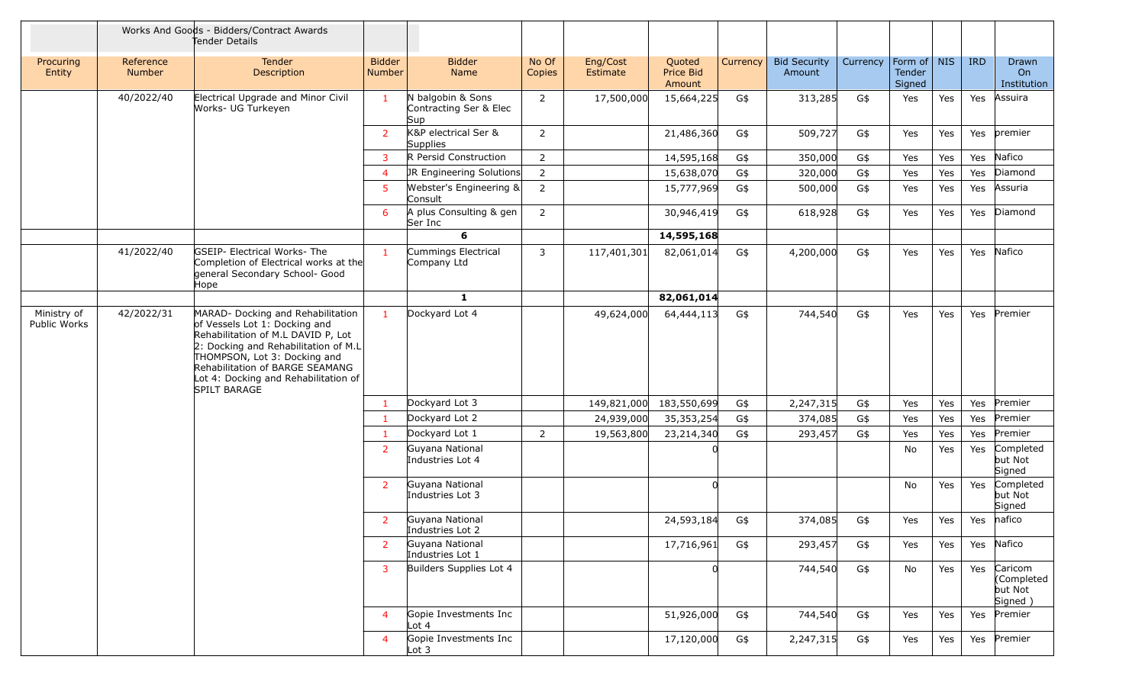|                             |                            | Works And Goods - Bidders/Contract Awards<br>Tender Details                                                                                                                                                                                                                    |                                |                                                    |                 |                      |                               |          |                               |          |                                 |            |            |                                            |
|-----------------------------|----------------------------|--------------------------------------------------------------------------------------------------------------------------------------------------------------------------------------------------------------------------------------------------------------------------------|--------------------------------|----------------------------------------------------|-----------------|----------------------|-------------------------------|----------|-------------------------------|----------|---------------------------------|------------|------------|--------------------------------------------|
| Procuring<br>Entity         | Reference<br><b>Number</b> | Tender<br><b>Description</b>                                                                                                                                                                                                                                                   | <b>Bidder</b><br><b>Number</b> | <b>Bidder</b><br>Name                              | No Of<br>Copies | Eng/Cost<br>Estimate | Quoted<br>Price Bid<br>Amount | Currency | <b>Bid Security</b><br>Amount | Currency | Form of NIS<br>Tender<br>Signed |            | <b>IRD</b> | Drawn<br>On<br>Institution                 |
|                             | 40/2022/40                 | Electrical Upgrade and Minor Civil<br>Works- UG Turkeyen                                                                                                                                                                                                                       | $\mathbf{1}$                   | N balgobin & Sons<br>Contracting Ser & Elec<br>Sup | 2               | 17,500,000           | 15,664,225                    | G\$      | 313,285                       | G\$      | Yes                             | Yes        | Yes        | Assuira                                    |
|                             |                            |                                                                                                                                                                                                                                                                                | $\overline{2}$                 | K&P electrical Ser &<br>Supplies                   | $\overline{2}$  |                      | 21,486,360                    | G\$      | 509,727                       | G\$      | Yes                             | Yes        | Yes        | premier                                    |
|                             |                            |                                                                                                                                                                                                                                                                                | $\overline{3}$                 | R Persid Construction                              | $\overline{2}$  |                      | 14,595,168                    | G\$      | 350,000                       | G\$      | Yes                             | Yes        | Yes        | Nafico                                     |
|                             |                            |                                                                                                                                                                                                                                                                                | $\overline{4}$                 | JR Engineering Solutions                           | $\overline{2}$  |                      | 15,638,070                    | G\$      | 320,000                       | G\$      | Yes                             | Yes        | Yes        | Diamond                                    |
|                             |                            |                                                                                                                                                                                                                                                                                | 5                              | Webster's Engineering &<br>Consult                 | $\overline{2}$  |                      | 15,777,969                    | G\$      | 500,000                       | G\$      | Yes                             | Yes        | Yes        | Assuria                                    |
|                             |                            |                                                                                                                                                                                                                                                                                | 6                              | A plus Consulting & gen<br>Ser Inc                 | $\overline{2}$  |                      | 30,946,419                    | G\$      | 618,928                       | G\$      | Yes                             | Yes        | Yes        | Diamond                                    |
|                             |                            |                                                                                                                                                                                                                                                                                |                                | 6                                                  |                 |                      | 14,595,168                    |          |                               |          |                                 |            |            |                                            |
|                             | 41/2022/40                 | <b>GSEIP- Electrical Works-The</b><br>Completion of Electrical works at the<br>general Secondary School- Good<br>Hope                                                                                                                                                          | $\mathbf{1}$                   | Cummings Electrical<br>Company Ltd                 | 3               | 117,401,301          | 82,061,014                    | G\$      | 4,200,000                     | G\$      | Yes                             | <b>Yes</b> | Yes        | Nafico                                     |
|                             |                            |                                                                                                                                                                                                                                                                                |                                | $\mathbf{1}$                                       |                 |                      | 82,061,014                    |          |                               |          |                                 |            |            |                                            |
| Ministry of<br>Public Works | 42/2022/31                 | MARAD- Docking and Rehabilitation<br>of Vessels Lot 1: Docking and<br>Rehabilitation of M.L DAVID P, Lot<br>$ 2:$ Docking and Rehabilitation of M.L<br>THOMPSON, Lot 3: Docking and<br>Rehabilitation of BARGE SEAMANG<br>Lot 4: Docking and Rehabilitation of<br>SPILT BARAGE | $\mathbf{1}$                   | Dockyard Lot 4                                     |                 | 49,624,000           | 64,444,113                    | G\$      | 744,540                       | G\$      | Yes                             | Yes        | Yes        | Premier                                    |
|                             |                            |                                                                                                                                                                                                                                                                                | $\mathbf{1}$                   | Dockyard Lot 3                                     |                 | 149,821,000          | 183,550,699                   | G\$      | 2,247,315                     | G\$      | Yes                             | Yes        | Yes        | Premier                                    |
|                             |                            |                                                                                                                                                                                                                                                                                | $\mathbf{1}$                   | Dockyard Lot 2                                     |                 | 24,939,000           | 35,353,254                    | G\$      | 374,085                       | G\$      | Yes                             | Yes        | Yes        | Premier                                    |
|                             |                            |                                                                                                                                                                                                                                                                                | $\mathbf{1}$                   | Dockyard Lot 1                                     | 2               | 19,563,800           | 23,214,340                    | G\$      | 293,457                       | G\$      | Yes                             | Yes        | Yes        | Premier                                    |
|                             |                            |                                                                                                                                                                                                                                                                                | $\overline{2}$                 | Guyana National<br>Industries Lot 4                |                 |                      |                               |          |                               |          | No                              | Yes        | Yes        | Completed<br>but Not<br>Signed             |
|                             |                            |                                                                                                                                                                                                                                                                                | $\overline{2}$                 | Guyana National<br>Industries Lot 3                |                 |                      |                               |          |                               |          | No.                             | Yes        | Yes        | Completed<br>but Not<br>Signed             |
|                             |                            |                                                                                                                                                                                                                                                                                | $\overline{2}$                 | Guyana National<br>Industries Lot 2                |                 |                      | 24,593,184                    | G\$      | 374,085                       | G\$      | Yes                             | Yes        | Yes        | nafico                                     |
|                             |                            |                                                                                                                                                                                                                                                                                | $\overline{2}$                 | Guyana National<br>Industries Lot 1                |                 |                      | 17,716,961                    | G\$      | 293,457                       | G\$      | Yes                             | Yes        | Yes        | Nafico                                     |
|                             |                            |                                                                                                                                                                                                                                                                                | 3                              | Builders Supplies Lot 4                            |                 |                      |                               |          | 744,540                       | G\$      | No                              | Yes        | Yes        | Caricom<br>Completed<br>but Not<br>Signed) |
|                             |                            |                                                                                                                                                                                                                                                                                | $\overline{4}$                 | Gopie Investments Inc<br>Lot 4                     |                 |                      | 51,926,000                    | G\$      | 744,540                       | G\$      | Yes                             | Yes        | Yes        | Premier                                    |
|                             |                            |                                                                                                                                                                                                                                                                                | $\overline{4}$                 | Gopie Investments Inc<br>Lot <sub>3</sub>          |                 |                      | 17,120,000                    | G\$      | 2,247,315                     | G\$      | Yes                             | Yes        | Yes        | Premier                                    |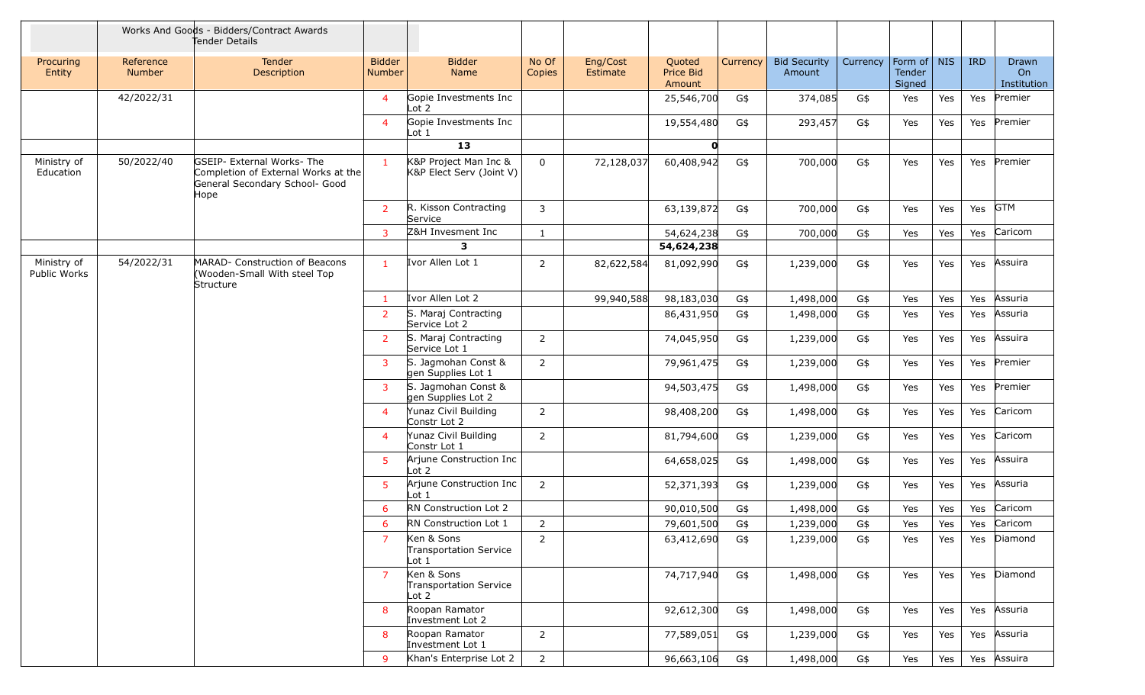|                                        |                                                                                                             | Works And Goods - Bidders/Contract Awards<br>Tender Details                 |                                                   |                                                     |                 |                      |                               |          |                               |          |                                   |     |            |                            |
|----------------------------------------|-------------------------------------------------------------------------------------------------------------|-----------------------------------------------------------------------------|---------------------------------------------------|-----------------------------------------------------|-----------------|----------------------|-------------------------------|----------|-------------------------------|----------|-----------------------------------|-----|------------|----------------------------|
| Procuring<br>Entity                    | Reference<br><b>Number</b>                                                                                  | Tender<br>Description                                                       | <b>Bidder</b><br>Number                           | <b>Bidder</b><br><b>Name</b>                        | No Of<br>Copies | Eng/Cost<br>Estimate | Quoted<br>Price Bid<br>Amount | Currency | <b>Bid Security</b><br>Amount | Currency | Form of   NIS<br>Tender<br>Signed |     | <b>IRD</b> | Drawn<br>On<br>Institution |
|                                        | 42/2022/31                                                                                                  |                                                                             | $\overline{4}$                                    | Gopie Investments Inc<br>Lot $2$                    |                 |                      | 25,546,700                    | G\$      | 374,085                       | G\$      | Yes                               | Yes | Yes        | Premier                    |
|                                        |                                                                                                             |                                                                             | $\overline{4}$                                    | Gopie Investments Inc<br>$\lfloor \cot 1 \rfloor$   |                 |                      | 19,554,480                    | G\$      | 293,457                       | G\$      | Yes                               | Yes | Yes        | Premier                    |
|                                        |                                                                                                             |                                                                             |                                                   | 13                                                  |                 |                      | $\mathbf{0}$                  |          |                               |          |                                   |     |            |                            |
| 50/2022/40<br>Ministry of<br>Education | GSEIP- External Works- The<br>Completion of External Works at the<br>General Secondary School- Good<br>Hope | $\mathbf{1}$                                                                | K&P Project Man Inc &<br>K&P Elect Serv (Joint V) | $\mathbf 0$                                         | 72,128,037      | 60,408,942           | G\$                           | 700,000  | G\$                           | Yes      | Yes                               | Yes | Premier    |                            |
|                                        |                                                                                                             |                                                                             | $\overline{2}$                                    | R. Kisson Contracting<br>Service                    | 3               |                      | 63,139,872                    | G\$      | 700,000                       | G\$      | Yes                               | Yes | Yes        | <b>GTM</b>                 |
|                                        |                                                                                                             |                                                                             | 3                                                 | Z&H Invesment Inc                                   | $\mathbf{1}$    |                      | 54,624,238                    | G\$      | 700,000                       | G\$      | Yes                               | Yes | Yes        | Caricom                    |
|                                        |                                                                                                             |                                                                             |                                                   | 3                                                   |                 |                      | 54,624,238                    |          |                               |          |                                   |     |            |                            |
| Ministry of<br>Public Works            | 54/2022/31                                                                                                  | MARAD- Construction of Beacons<br>(Wooden-Small With steel Top<br>Structure | $\mathbf{1}$                                      | Ivor Allen Lot 1                                    | 2               | 82,622,584           | 81,092,990                    | G\$      | 1,239,000                     | G\$      | Yes                               | Yes | Yes        | Assuira                    |
|                                        |                                                                                                             |                                                                             | $\mathbf{1}$                                      | Ivor Allen Lot 2                                    |                 | 99,940,588           | 98,183,030                    | G\$      | 1,498,000                     | G\$      | Yes                               | Yes | Yes        | Assuria                    |
|                                        |                                                                                                             |                                                                             | $\overline{2}$                                    | S. Maraj Contracting<br>Service Lot 2               |                 |                      | 86,431,950                    | G\$      | 1,498,000                     | G\$      | Yes                               | Yes | Yes        | Assuria                    |
|                                        |                                                                                                             |                                                                             | $2^{\circ}$                                       | S. Maraj Contracting<br>Service Lot 1               | $\overline{2}$  |                      | 74,045,950                    | G\$      | 1,239,000                     | G\$      | Yes                               | Yes | Yes        | Assuira                    |
|                                        |                                                                                                             |                                                                             | 3                                                 | S. Jagmohan Const &<br>gen Supplies Lot 1           | $\overline{2}$  |                      | 79,961,475                    | G\$      | 1,239,000                     | G\$      | Yes                               | Yes | Yes        | Premier                    |
|                                        |                                                                                                             |                                                                             | $\overline{3}$                                    | S. Jagmohan Const &<br>gen Supplies Lot 2           |                 |                      | 94,503,475                    | G\$      | 1,498,000                     | G\$      | Yes                               | Yes | Yes        | Premier                    |
|                                        |                                                                                                             |                                                                             | $\overline{4}$                                    | Yunaz Civil Building<br>Constr Lot 2                | $\overline{2}$  |                      | 98,408,200                    | G\$      | 1,498,000                     | G\$      | Yes                               | Yes | Yes        | Caricom                    |
|                                        |                                                                                                             |                                                                             | $\overline{4}$                                    | Yunaz Civil Building<br>Constr Lot 1                | $\overline{2}$  |                      | 81,794,600                    | G\$      | 1,239,000                     | G\$      | Yes                               | Yes | Yes        | Caricom                    |
|                                        |                                                                                                             |                                                                             | 5                                                 | Arjune Construction Inc<br>$\lfloor \cot 2 \rfloor$ |                 |                      | 64,658,025                    | G\$      | 1,498,000                     | G\$      | Yes                               | Yes | Yes        | Assuira                    |
|                                        |                                                                                                             |                                                                             | 5                                                 | Arjune Construction Inc<br>Lot <sub>1</sub>         | $\overline{2}$  |                      | 52,371,393                    | G\$      | 1,239,000                     | G\$      | Yes                               | Yes | Yes        | Assuria                    |
|                                        |                                                                                                             |                                                                             | 6                                                 | RN Construction Lot 2                               |                 |                      | 90,010,500                    | G\$      | 1,498,000                     | G\$      | Yes                               | Yes | Yes        | Caricom                    |
|                                        |                                                                                                             |                                                                             | 6                                                 | <b>RN</b> Construction Lot 1                        | 2               |                      | 79,601,500                    | G\$      | 1,239,000                     | G\$      | Yes                               | Yes | Yes        | Caricom                    |
|                                        |                                                                                                             |                                                                             | $\overline{7}$                                    | Ken & Sons<br>Transportation Service<br>Lot 1       | $\overline{2}$  |                      | 63,412,690                    | G\$      | 1,239,000                     | G\$      | Yes                               | Yes | Yes        | Diamond                    |
|                                        |                                                                                                             |                                                                             | $\overline{7}$                                    | Ken & Sons<br>Transportation Service<br>Lot 2       |                 |                      | 74,717,940                    | G\$      | 1,498,000                     | G\$      | Yes                               | Yes | Yes        | Diamond                    |
|                                        |                                                                                                             |                                                                             | 8                                                 | Roopan Ramator<br>Investment Lot 2                  |                 |                      | 92,612,300                    | G\$      | 1,498,000                     | G\$      | Yes                               | Yes | Yes        | Assuria                    |
|                                        |                                                                                                             |                                                                             | 8                                                 | Roopan Ramator<br>Investment Lot 1                  | 2               |                      | 77,589,051                    | G\$      | 1,239,000                     | G\$      | Yes                               | Yes | Yes        | Assuria                    |
|                                        |                                                                                                             |                                                                             | 9                                                 | Khan's Enterprise Lot 2                             | 2               |                      | 96,663,106                    | G\$      | 1,498,000                     | G\$      | Yes                               | Yes | Yes        | Assuira                    |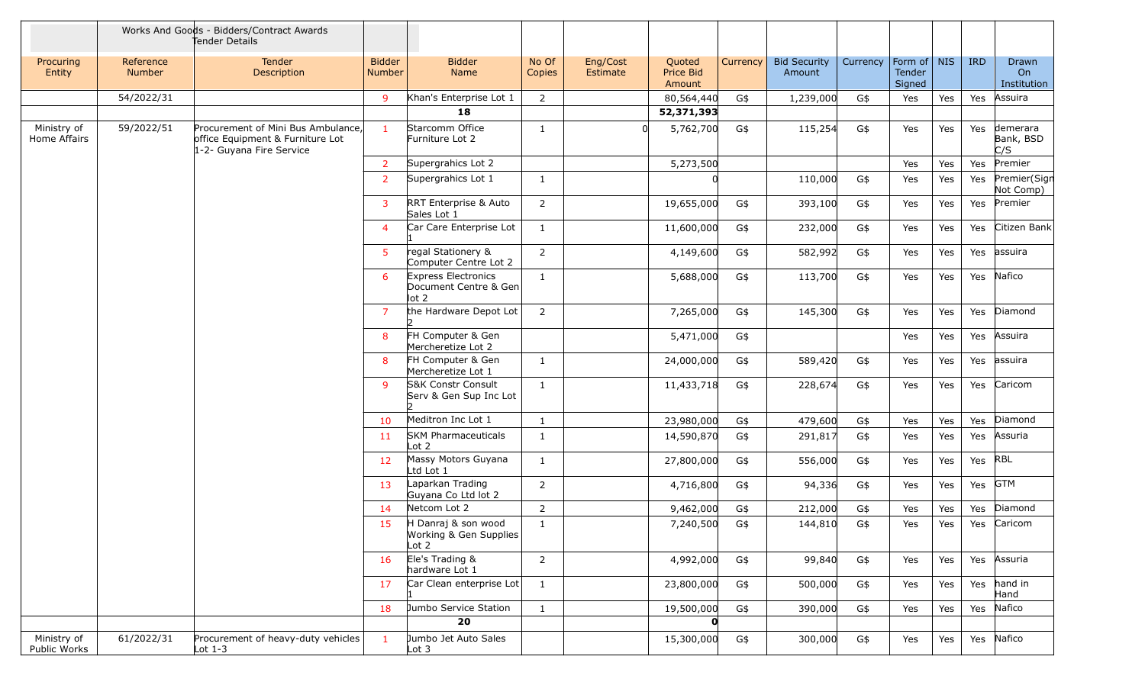|                             |                            | Works And Goods - Bidders/Contract Awards<br>Tender Details                                        |                                |                                                                           |                 |                      |                               |          |                               |          |                                   |     |            |                              |
|-----------------------------|----------------------------|----------------------------------------------------------------------------------------------------|--------------------------------|---------------------------------------------------------------------------|-----------------|----------------------|-------------------------------|----------|-------------------------------|----------|-----------------------------------|-----|------------|------------------------------|
| Procuring<br>Entity         | Reference<br><b>Number</b> | Tender<br>Description                                                                              | <b>Bidder</b><br><b>Number</b> | <b>Bidder</b><br>Name                                                     | No Of<br>Copies | Eng/Cost<br>Estimate | Quoted<br>Price Bid<br>Amount | Currency | <b>Bid Security</b><br>Amount | Currency | Form of   NIS<br>Tender<br>Signed |     | <b>IRD</b> | Drawn<br>On<br>Institution   |
|                             | 54/2022/31                 |                                                                                                    | 9                              | Khan's Enterprise Lot 1                                                   | 2               |                      | 80,564,440                    | G\$      | 1,239,000                     | G\$      | Yes                               | Yes | Yes        | Assuira                      |
|                             |                            |                                                                                                    |                                | 18                                                                        |                 |                      | 52,371,393                    |          |                               |          |                                   |     |            |                              |
| Ministry of<br>Home Affairs | 59/2022/51                 | Procurement of Mini Bus Ambulance,<br>office Equipment & Furniture Lot<br>1-2- Guyana Fire Service | $\mathbf{1}$                   | Starcomm Office<br>Furniture Lot 2                                        | -1              |                      | 5,762,700                     | G\$      | 115,254                       | G\$      | Yes                               | Yes | Yes        | demerara<br>Bank, BSD<br>C/S |
|                             |                            |                                                                                                    | $\overline{2}$                 | Supergrahics Lot 2                                                        |                 |                      | 5,273,500                     |          |                               |          | Yes                               | Yes | Yes        | Premier                      |
|                             |                            |                                                                                                    | $\overline{2}$                 | Supergrahics Lot 1                                                        | 1               |                      |                               |          | 110,000                       | G\$      | Yes                               | Yes | Yes        | Premier(Sign<br>Not Comp)    |
|                             |                            |                                                                                                    | 3                              | <b>RRT</b> Enterprise & Auto<br>Sales Lot 1                               | $\overline{2}$  |                      | 19,655,000                    | G\$      | 393,100                       | G\$      | Yes                               | Yes | Yes        | Premier                      |
|                             |                            |                                                                                                    | $\overline{4}$                 | Car Care Enterprise Lot                                                   | 1               |                      | 11,600,000                    | G\$      | 232,000                       | G\$      | Yes                               | Yes | Yes        | Citizen Bank                 |
|                             |                            |                                                                                                    | $5^{\circ}$                    | regal Stationery &<br>Computer Centre Lot 2                               | 2               |                      | 4,149,600                     | G\$      | 582,992                       | G\$      | Yes                               | Yes | Yes        | assuira                      |
|                             |                            |                                                                                                    | 6                              | <b>Express Electronics</b><br>Document Centre & Gen<br>$\vert \vert$ ot 2 | $\mathbf{1}$    |                      | 5,688,000                     | G\$      | 113,700                       | G\$      | Yes                               | Yes | Yes        | Nafico                       |
|                             |                            |                                                                                                    | $\overline{7}$                 | the Hardware Depot Lot                                                    | $\overline{2}$  |                      | 7,265,000                     | G\$      | 145,300                       | G\$      | Yes                               | Yes | Yes        | Diamond                      |
|                             |                            |                                                                                                    | 8                              | FH Computer & Gen<br>Mercheretize Lot 2                                   |                 |                      | 5,471,000                     | G\$      |                               |          | Yes                               | Yes | Yes        | Assuira                      |
|                             |                            |                                                                                                    | 8                              | FH Computer & Gen<br>Mercheretize Lot 1                                   | -1              |                      | 24,000,000                    | G\$      | 589,420                       | G\$      | Yes                               | Yes | Yes        | assuira                      |
|                             |                            |                                                                                                    | 9                              | <b>S&amp;K Constr Consult</b><br>Serv & Gen Sup Inc Lot                   | 1               |                      | 11,433,718                    | G\$      | 228,674                       | G\$      | Yes                               | Yes | Yes        | Caricom                      |
|                             |                            |                                                                                                    | 10                             | Meditron Inc Lot 1                                                        | 1               |                      | 23,980,000                    | G\$      | 479,600                       | G\$      | Yes                               | Yes | Yes        | Diamond                      |
|                             |                            |                                                                                                    | 11                             | <b>SKM Pharmaceuticals</b><br>$\lfloor \cot 2 \rfloor$                    | 1               |                      | 14,590,870                    | G\$      | 291,817                       | G\$      | Yes                               | Yes | Yes        | Assuria                      |
|                             |                            |                                                                                                    | 12                             | Massy Motors Guyana<br>Ltd Lot 1                                          | $\mathbf{1}$    |                      | 27,800,000                    | G\$      | 556,000                       | G\$      | Yes                               | Yes | Yes        | <b>RBL</b>                   |
|                             |                            |                                                                                                    | 13                             | Laparkan Trading<br>Guyana Co Ltd lot 2                                   | $\overline{2}$  |                      | 4,716,800                     | G\$      | 94,336                        | G\$      | Yes                               | Yes | Yes        | <b>GTM</b>                   |
|                             |                            |                                                                                                    | 14                             | Netcom Lot 2                                                              | $\overline{2}$  |                      | 9,462,000                     | G\$      | 212,000                       | G\$      | Yes                               | Yes | Yes        | Diamond                      |
|                             |                            |                                                                                                    | 15                             | H Danraj & son wood<br>Working & Gen Supplies<br>$\lfloor \cot 2 \rfloor$ | $\mathbf{1}$    |                      | 7,240,500                     | G\$      | 144,810                       | G\$      | Yes                               | Yes | Yes        | Caricom                      |
|                             |                            |                                                                                                    | 16                             | Ele's Trading &<br>hardware Lot 1                                         | $\overline{2}$  |                      | 4,992,000                     | G\$      | 99,840                        | G\$      | Yes                               | Yes | Yes        | Assuria                      |
|                             |                            |                                                                                                    | 17                             | Car Clean enterprise Lot                                                  | $\mathbf{1}$    |                      | 23,800,000                    | G\$      | 500,000                       | G\$      | Yes                               | Yes | Yes        | hand in<br>Hand              |
|                             |                            |                                                                                                    | 18                             | Jumbo Service Station                                                     | $\mathbf{1}$    |                      | 19,500,000                    | G\$      | 390,000                       | G\$      | Yes                               | Yes | Yes        | Nafico                       |
|                             |                            |                                                                                                    |                                | 20                                                                        |                 |                      | $\mathbf{o}$                  |          |                               |          |                                   |     |            |                              |
| Ministry of<br>Public Works | 61/2022/31                 | Procurement of heavy-duty vehicles<br>Lot $1-3$                                                    | $\mathbf{1}$                   | Jumbo Jet Auto Sales<br>$\lfloor \cot 3 \rfloor$                          |                 |                      | 15,300,000                    | G\$      | 300,000                       | G\$      | Yes                               | Yes | Yes        | Nafico                       |